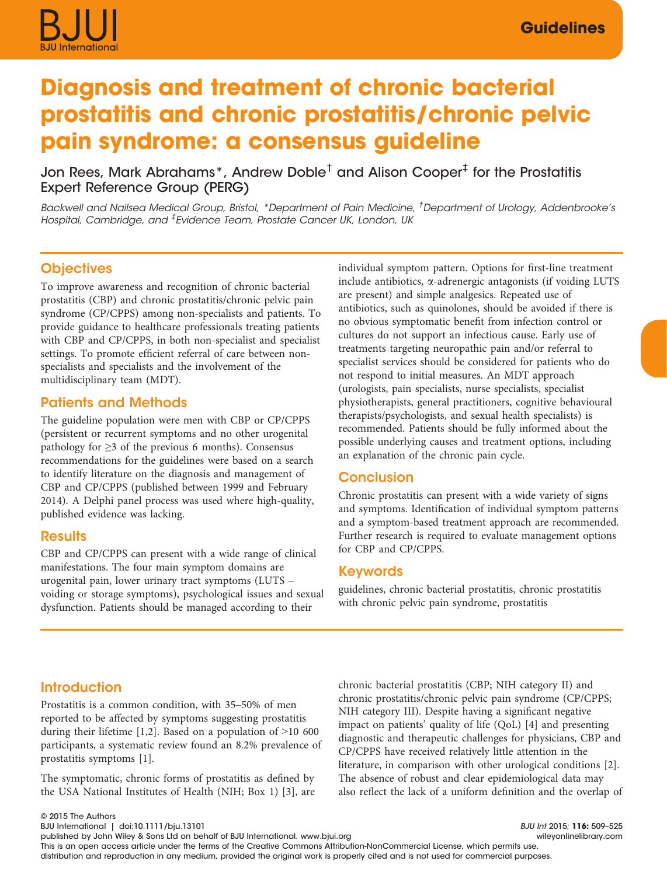

# Diagnosis and treatment of chronic bacterial prostatitis and chronic prostatitis/chronic pelvic pain syndrome: a consensus guideline

Jon Rees, Mark Abrahams\*, Andrew Doble† and Alison Cooper‡ for the Prostatitis Expert Reference Group (PERG)

Backwell and Nailsea Medical Group, Bristol, \*Department of Pain Medicine, † Department of Urology, Addenbrooke's Hospital, Cambridge, and <sup>‡</sup>Evidence Team, Prostate Cancer UK, London, UK

# **Objectives**

To improve awareness and recognition of chronic bacterial prostatitis (CBP) and chronic prostatitis/chronic pelvic pain syndrome (CP/CPPS) among non-specialists and patients. To provide guidance to healthcare professionals treating patients with CBP and CP/CPPS, in both non-specialist and specialist settings. To promote efficient referral of care between nonspecialists and specialists and the involvement of the multidisciplinary team (MDT).

# Patients and Methods

The guideline population were men with CBP or CP/CPPS (persistent or recurrent symptoms and no other urogenital pathology for  $\geq$ 3 of the previous 6 months). Consensus recommendations for the guidelines were based on a search to identify literature on the diagnosis and management of CBP and CP/CPPS (published between 1999 and February 2014). A Delphi panel process was used where high-quality, published evidence was lacking.

# **Results**

CBP and CP/CPPS can present with a wide range of clinical manifestations. The four main symptom domains are urogenital pain, lower urinary tract symptoms (LUTS – voiding or storage symptoms), psychological issues and sexual dysfunction. Patients should be managed according to their

individual symptom pattern. Options for first-line treatment include antibiotics, a-adrenergic antagonists (if voiding LUTS are present) and simple analgesics. Repeated use of antibiotics, such as quinolones, should be avoided if there is no obvious symptomatic benefit from infection control or cultures do not support an infectious cause. Early use of treatments targeting neuropathic pain and/or referral to specialist services should be considered for patients who do not respond to initial measures. An MDT approach (urologists, pain specialists, nurse specialists, specialist physiotherapists, general practitioners, cognitive behavioural therapists/psychologists, and sexual health specialists) is recommended. Patients should be fully informed about the possible underlying causes and treatment options, including an explanation of the chronic pain cycle.

# **Conclusion**

Chronic prostatitis can present with a wide variety of signs and symptoms. Identification of individual symptom patterns and a symptom-based treatment approach are recommended. Further research is required to evaluate management options for CBP and CP/CPPS.

# Keywords

guidelines, chronic bacterial prostatitis, chronic prostatitis with chronic pelvic pain syndrome, prostatitis

# **Introduction**

© 2015 The Authors

Prostatitis is a common condition, with 35–50% of men reported to be affected by symptoms suggesting prostatitis during their lifetime [1,2]. Based on a population of >10 600 participants, a systematic review found an 8.2% prevalence of prostatitis symptoms [1].

The symptomatic, chronic forms of prostatitis as defined by the USA National Institutes of Health (NIH; Box 1) [3], are chronic bacterial prostatitis (CBP; NIH category II) and chronic prostatitis/chronic pelvic pain syndrome (CP/CPPS; NIH category III). Despite having a significant negative impact on patients' quality of life (QoL) [4] and presenting diagnostic and therapeutic challenges for physicians, CBP and CP/CPPS have received relatively little attention in the literature, in comparison with other urological conditions [2]. The absence of robust and clear epidemiological data may also reflect the lack of a uniform definition and the overlap of

This is an open access article under the terms of the [Creative Commons Attribution-NonCommercial](http://prostatecanceruk.org/prostatitisguideline) License, which permits use, distribution and reproduction in any medium, provided the original work is properly cited and is not used for commercial purposes.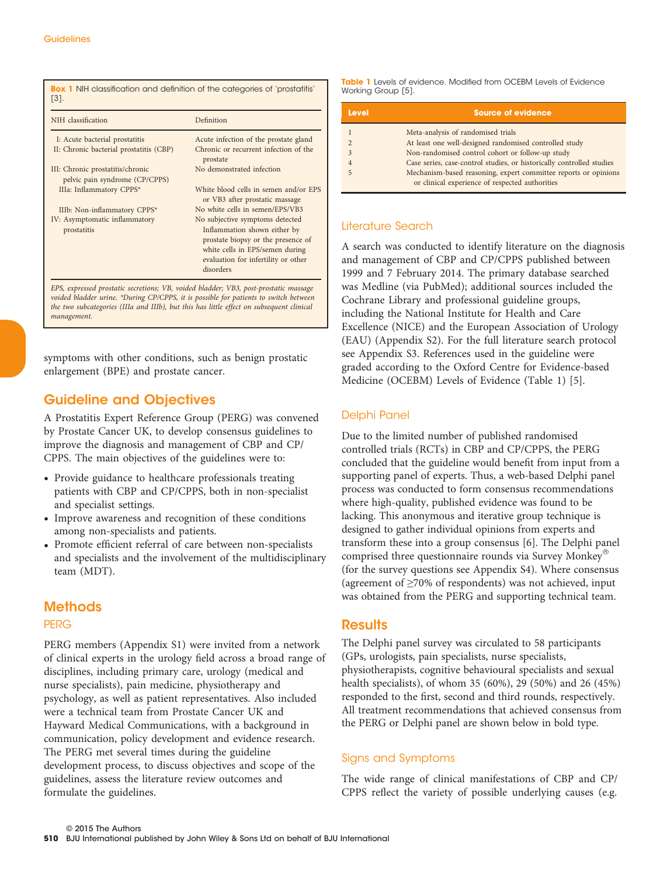| NIH classification                                                 | Definition                                                              |
|--------------------------------------------------------------------|-------------------------------------------------------------------------|
| I: Acute bacterial prostatitis                                     | Acute infection of the prostate gland                                   |
| II: Chronic bacterial prostatitis (CBP)                            | Chronic or recurrent infection of the<br>prostate                       |
| III: Chronic prostatitis/chronic<br>pelvic pain syndrome (CP/CPPS) | No demonstrated infection                                               |
| IIIa: Inflammatory CPPS*                                           | White blood cells in semen and/or EPS<br>or VB3 after prostatic massage |
| IIIb: Non-inflammatory CPPS*                                       | No white cells in semen/EPS/VB3                                         |
| IV: Asymptomatic inflammatory                                      | No subjective symptoms detected                                         |
| prostatitis                                                        | Inflammation shown either by                                            |
|                                                                    | prostate biopsy or the presence of                                      |
|                                                                    | white cells in EPS/semen during                                         |
|                                                                    | evaluation for infertility or other                                     |
|                                                                    | disorders                                                               |

**Box 1** NIH classification and definition of the categories of 'prostatitis'  $\overline{[3]}$ 

voided bladder urine. \*During CP/CPPS, it is possible for patients to switch between the two subcategories (IIIa and IIIb), but this has little effect on subsequent clinical management.

symptoms with other conditions, such as benign prostatic enlargement (BPE) and prostate cancer.

# Guideline and Objectives

A Prostatitis Expert Reference Group (PERG) was convened by Prostate Cancer UK, to develop consensus guidelines to improve the diagnosis and management of CBP and CP/ CPPS. The main objectives of the guidelines were to:

- Provide guidance to healthcare professionals treating patients with CBP and CP/CPPS, both in non-specialist and specialist settings.
- Improve awareness and recognition of these conditions among non-specialists and patients.
- Promote efficient referral of care between non-specialists and specialists and the involvement of the multidisciplinary team (MDT).

# **Methods**

### PERG

PERG members (Appendix S1) were invited from a network of clinical experts in the urology field across a broad range of disciplines, including primary care, urology (medical and nurse specialists), pain medicine, physiotherapy and psychology, as well as patient representatives. Also included were a technical team from Prostate Cancer UK and Hayward Medical Communications, with a background in communication, policy development and evidence research. The PERG met several times during the guideline development process, to discuss objectives and scope of the guidelines, assess the literature review outcomes and formulate the guidelines.

Table 1 Levels of evidence. Modified from OCEBM Levels of Evidence Working Group [5].

| <b>Source of evidence</b>                                                                                          |  |  |  |  |
|--------------------------------------------------------------------------------------------------------------------|--|--|--|--|
| Meta-analysis of randomised trials                                                                                 |  |  |  |  |
| At least one well-designed randomised controlled study                                                             |  |  |  |  |
| Non-randomised control cohort or follow-up study                                                                   |  |  |  |  |
| Case series, case-control studies, or historically controlled studies                                              |  |  |  |  |
| Mechanism-based reasoning, expert committee reports or opinions<br>or clinical experience of respected authorities |  |  |  |  |
|                                                                                                                    |  |  |  |  |

### Literature Search

A search was conducted to identify literature on the diagnosis and management of CBP and CP/CPPS published between 1999 and 7 February 2014. The primary database searched was Medline (via PubMed); additional sources included the Cochrane Library and professional guideline groups, including the National Institute for Health and Care Excellence (NICE) and the European Association of Urology (EAU) (Appendix S2). For the full literature search protocol see Appendix S3. References used in the guideline were graded according to the Oxford Centre for Evidence-based Medicine (OCEBM) Levels of Evidence (Table 1) [5].

# Delphi Panel

Due to the limited number of published randomised controlled trials (RCTs) in CBP and CP/CPPS, the PERG concluded that the guideline would benefit from input from a supporting panel of experts. Thus, a web-based Delphi panel process was conducted to form consensus recommendations where high-quality, published evidence was found to be lacking. This anonymous and iterative group technique is designed to gather individual opinions from experts and transform these into a group consensus [6]. The Delphi panel comprised three questionnaire rounds via Survey Monkey (for the survey questions see Appendix S4). Where consensus (agreement of ≥70% of respondents) was not achieved, input was obtained from the PERG and supporting technical team.

# Results

The Delphi panel survey was circulated to 58 participants (GPs, urologists, pain specialists, nurse specialists, physiotherapists, cognitive behavioural specialists and sexual health specialists), of whom 35 (60%), 29 (50%) and 26 (45%) responded to the first, second and third rounds, respectively. All treatment recommendations that achieved consensus from the PERG or Delphi panel are shown below in bold type.

# Signs and Symptoms

The wide range of clinical manifestations of CBP and CP/ CPPS reflect the variety of possible underlying causes (e.g.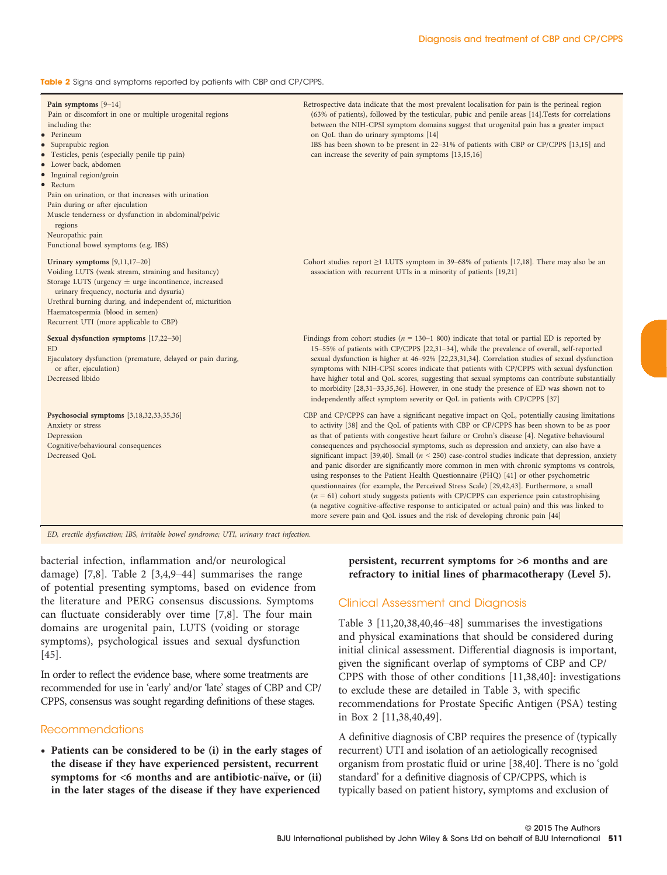#### Table 2 Signs and symptoms reported by patients with CBP and CP/CPPS.

| Pain symptoms [9-14]<br>Pain or discomfort in one or multiple urogenital regions<br>including the:<br>· Perineum<br>Suprapubic region<br>$\bullet$<br>• Testicles, penis (especially penile tip pain)<br>· Lower back, abdomen<br>• Inguinal region/groin<br>$\bullet$ Rectum<br>Pain on urination, or that increases with urination<br>Pain during or after ejaculation<br>Muscle tenderness or dysfunction in abdominal/pelvic<br>regions<br>Neuropathic pain<br>Functional bowel symptoms (e.g. IBS) | Retrospective data indicate that the most prevalent localisation for pain is the perineal region<br>(63% of patients), followed by the testicular, pubic and penile areas [14]. Tests for correlations<br>between the NIH-CPSI symptom domains suggest that urogenital pain has a greater impact<br>on QoL than do urinary symptoms [14]<br>IBS has been shown to be present in 22-31% of patients with CBP or CP/CPPS [13,15] and<br>can increase the severity of pain symptoms [13,15,16]                                                                                                                                                                                                                                                                                                                                                                                                                                                                                                                                                                           |
|---------------------------------------------------------------------------------------------------------------------------------------------------------------------------------------------------------------------------------------------------------------------------------------------------------------------------------------------------------------------------------------------------------------------------------------------------------------------------------------------------------|-----------------------------------------------------------------------------------------------------------------------------------------------------------------------------------------------------------------------------------------------------------------------------------------------------------------------------------------------------------------------------------------------------------------------------------------------------------------------------------------------------------------------------------------------------------------------------------------------------------------------------------------------------------------------------------------------------------------------------------------------------------------------------------------------------------------------------------------------------------------------------------------------------------------------------------------------------------------------------------------------------------------------------------------------------------------------|
| Urinary symptoms [9,11,17-20]<br>Voiding LUTS (weak stream, straining and hesitancy)<br>Storage LUTS (urgency $\pm$ urge incontinence, increased<br>urinary frequency, nocturia and dysuria)<br>Urethral burning during, and independent of, micturition<br>Haematospermia (blood in semen)<br>Recurrent UTI (more applicable to CBP)                                                                                                                                                                   | Cohort studies report $\geq$ 1 LUTS symptom in 39–68% of patients [17,18]. There may also be an<br>association with recurrent UTIs in a minority of patients [19,21]                                                                                                                                                                                                                                                                                                                                                                                                                                                                                                                                                                                                                                                                                                                                                                                                                                                                                                  |
| Sexual dysfunction symptoms [17,22-30]<br><b>ED</b><br>Ejaculatory dysfunction (premature, delayed or pain during,<br>or after, ejaculation)<br>Decreased libido                                                                                                                                                                                                                                                                                                                                        | Findings from cohort studies ( $n = 130-1800$ ) indicate that total or partial ED is reported by<br>15–55% of patients with CP/CPPS [22,31–34], while the prevalence of overall, self-reported<br>sexual dysfunction is higher at 46–92% [22,23,31,34]. Correlation studies of sexual dysfunction<br>symptoms with NIH-CPSI scores indicate that patients with CP/CPPS with sexual dysfunction<br>have higher total and QoL scores, suggesting that sexual symptoms can contribute substantially<br>to morbidity [28,31-33,35,36]. However, in one study the presence of ED was shown not to<br>independently affect symptom severity or QoL in patients with CP/CPPS [37]                                                                                                                                                                                                                                                                                                                                                                                            |
| Psychosocial symptoms [3,18,32,33,35,36]<br>Anxiety or stress<br>Depression<br>Cognitive/behavioural consequences<br>Decreased QoL                                                                                                                                                                                                                                                                                                                                                                      | CBP and CP/CPPS can have a significant negative impact on QoL, potentially causing limitations<br>to activity [38] and the QoL of patients with CBP or CP/CPPS has been shown to be as poor<br>as that of patients with congestive heart failure or Crohn's disease [4]. Negative behavioural<br>consequences and psychosocial symptoms, such as depression and anxiety, can also have a<br>significant impact [39,40]. Small ( $n < 250$ ) case-control studies indicate that depression, anxiety<br>and panic disorder are significantly more common in men with chronic symptoms vs controls,<br>using responses to the Patient Health Questionnaire (PHQ) [41] or other psychometric<br>questionnaires (for example, the Perceived Stress Scale) [29,42,43]. Furthermore, a small<br>$(n = 61)$ cohort study suggests patients with CP/CPPS can experience pain catastrophising<br>(a negative cognitive-affective response to anticipated or actual pain) and this was linked to<br>more severe pain and QoL issues and the risk of developing chronic pain [44] |

ED, erectile dysfunction; IBS, irritable bowel syndrome; UTI, urinary tract infection.

bacterial infection, inflammation and/or neurological damage) [7,8]. Table 2 [3,4,9–44] summarises the range of potential presenting symptoms, based on evidence from the literature and PERG consensus discussions. Symptoms can fluctuate considerably over time [7,8]. The four main domains are urogenital pain, LUTS (voiding or storage symptoms), psychological issues and sexual dysfunction [45].

In order to reflect the evidence base, where some treatments are recommended for use in 'early' and/or 'late' stages of CBP and CP/ CPPS, consensus was sought regarding definitions of these stages.

### Recommendations

• Patients can be considered to be (i) in the early stages of the disease if they have experienced persistent, recurrent symptoms for  $<$ 6 months and are antibiotic-naïve, or (ii) in the later stages of the disease if they have experienced

persistent, recurrent symptoms for >6 months and are refractory to initial lines of pharmacotherapy (Level 5).

### Clinical Assessment and Diagnosis

Table 3 [11,20,38,40,46–48] summarises the investigations and physical examinations that should be considered during initial clinical assessment. Differential diagnosis is important, given the significant overlap of symptoms of CBP and CP/ CPPS with those of other conditions [11,38,40]: investigations to exclude these are detailed in Table 3, with specific recommendations for Prostate Specific Antigen (PSA) testing in Box 2 [11,38,40,49].

A definitive diagnosis of CBP requires the presence of (typically recurrent) UTI and isolation of an aetiologically recognised organism from prostatic fluid or urine [38,40]. There is no 'gold standard' for a definitive diagnosis of CP/CPPS, which is typically based on patient history, symptoms and exclusion of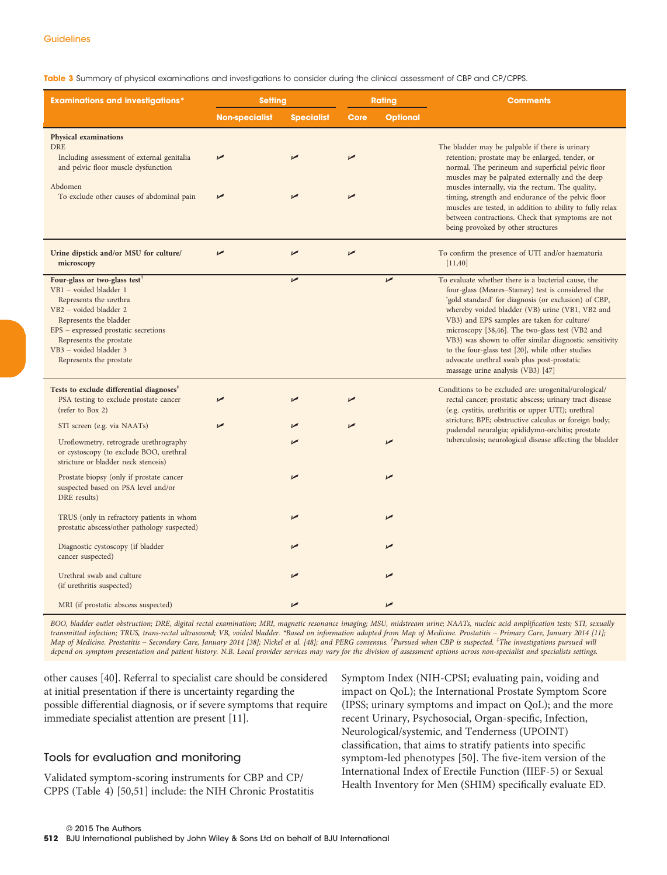Table 3 Summary of physical examinations and investigations to consider during the clinical assessment of CBP and CP/CPPS.

| <b>Examinations and investigations*</b>                                                                                                                                                                                                                                   | <b>Setting</b>        | Rating            |      |                 | <b>Comments</b>                                                                                                                                                                                                                                                                                                                                                                                                                                                                                                        |  |
|---------------------------------------------------------------------------------------------------------------------------------------------------------------------------------------------------------------------------------------------------------------------------|-----------------------|-------------------|------|-----------------|------------------------------------------------------------------------------------------------------------------------------------------------------------------------------------------------------------------------------------------------------------------------------------------------------------------------------------------------------------------------------------------------------------------------------------------------------------------------------------------------------------------------|--|
|                                                                                                                                                                                                                                                                           | <b>Non-specialist</b> | <b>Specialist</b> | Core | <b>Optional</b> |                                                                                                                                                                                                                                                                                                                                                                                                                                                                                                                        |  |
| <b>Physical examinations</b><br><b>DRE</b><br>Including assessment of external genitalia<br>and pelvic floor muscle dysfunction                                                                                                                                           | v                     |                   | ↙    |                 | The bladder may be palpable if there is urinary<br>retention; prostate may be enlarged, tender, or<br>normal. The perineum and superficial pelvic floor<br>muscles may be palpated externally and the deep                                                                                                                                                                                                                                                                                                             |  |
| Abdomen<br>To exclude other causes of abdominal pain                                                                                                                                                                                                                      | $\sqrt{ }$            |                   | مما  |                 | muscles internally, via the rectum. The quality,<br>timing, strength and endurance of the pelvic floor<br>muscles are tested, in addition to ability to fully relax<br>between contractions. Check that symptoms are not<br>being provoked by other structures                                                                                                                                                                                                                                                         |  |
| Urine dipstick and/or MSU for culture/<br>microscopy                                                                                                                                                                                                                      | $\overline{r}$        | ↙                 | V    |                 | To confirm the presence of UTI and/or haematuria<br>[11, 40]                                                                                                                                                                                                                                                                                                                                                                                                                                                           |  |
| Four-glass or two-glass test <sup>†</sup><br>VB1 - voided bladder 1<br>Represents the urethra<br>VB2 - voided bladder 2<br>Represents the bladder<br>EPS – expressed prostatic secretions<br>Represents the prostate<br>VB3 - voided bladder 3<br>Represents the prostate |                       | $\sqrt{ }$        |      | V               | To evaluate whether there is a bacterial cause, the<br>four-glass (Meares-Stamey) test is considered the<br>'gold standard' for diagnosis (or exclusion) of CBP,<br>whereby voided bladder (VB) urine (VB1, VB2 and<br>VB3) and EPS samples are taken for culture/<br>microscopy [38,46]. The two-glass test (VB2 and<br>VB3) was shown to offer similar diagnostic sensitivity<br>to the four-glass test [20], while other studies<br>advocate urethral swab plus post-prostatic<br>massage urine analysis (VB3) [47] |  |
| Tests to exclude differential diagnoses <sup>‡</sup><br>PSA testing to exclude prostate cancer<br>(refer to Box 2)                                                                                                                                                        | مما                   | مرد               | مما  |                 | Conditions to be excluded are: urogenital/urological/<br>rectal cancer; prostatic abscess; urinary tract disease<br>(e.g. cystitis, urethritis or upper UTI); urethral                                                                                                                                                                                                                                                                                                                                                 |  |
| STI screen (e.g. via NAATs)                                                                                                                                                                                                                                               | ↙                     |                   | ↙    |                 | stricture; BPE; obstructive calculus or foreign body;<br>pudendal neuralgia; epididymo-orchitis; prostate                                                                                                                                                                                                                                                                                                                                                                                                              |  |
| Uroflowmetry, retrograde urethrography<br>or cystoscopy (to exclude BOO, urethral<br>stricture or bladder neck stenosis)                                                                                                                                                  |                       |                   |      | مما             | tuberculosis; neurological disease affecting the bladder                                                                                                                                                                                                                                                                                                                                                                                                                                                               |  |
| Prostate biopsy (only if prostate cancer<br>suspected based on PSA level and/or<br>DRE results)                                                                                                                                                                           |                       | مما               |      | مما             |                                                                                                                                                                                                                                                                                                                                                                                                                                                                                                                        |  |
| TRUS (only in refractory patients in whom<br>prostatic abscess/other pathology suspected)                                                                                                                                                                                 |                       |                   |      | مما             |                                                                                                                                                                                                                                                                                                                                                                                                                                                                                                                        |  |
| Diagnostic cystoscopy (if bladder<br>cancer suspected)                                                                                                                                                                                                                    |                       |                   |      | مرا             |                                                                                                                                                                                                                                                                                                                                                                                                                                                                                                                        |  |
| Urethral swab and culture<br>(if urethritis suspected)                                                                                                                                                                                                                    |                       |                   |      | مما             |                                                                                                                                                                                                                                                                                                                                                                                                                                                                                                                        |  |
| MRI (if prostatic abscess suspected)                                                                                                                                                                                                                                      |                       |                   |      | مرا             |                                                                                                                                                                                                                                                                                                                                                                                                                                                                                                                        |  |

BOO, bladder outlet obstruction; DRE, digital rectal examination; MRI, magnetic resonance imaging; MSU, midstream urine; NAATs, nucleic acid amplification tests; STI, sexually transmitted infection; TRUS, trans-rectal ultrasound; VB, voided bladder. \*Based on information adapted from Map of Medicine. Prostatitis – Primary Care, January 2014 [11]; Map of Medicine. Prostatitis – Secondary Care, January 2014 [38]; Nickel et al. [48]; and PERG consensus. † Pursued when CBP is suspected. ‡ The investigations pursued will depend on symptom presentation and patient history. N.B. Local provider services may vary for the division of assessment options across non-specialist and specialists settings.

other causes [40]. Referral to specialist care should be considered at initial presentation if there is uncertainty regarding the possible differential diagnosis, or if severe symptoms that require immediate specialist attention are present [11].

### Tools for evaluation and monitoring

Validated symptom-scoring instruments for CBP and CP/ CPPS (Table 4) [50,51] include: the NIH Chronic Prostatitis Symptom Index (NIH-CPSI; evaluating pain, voiding and impact on QoL); the International Prostate Symptom Score (IPSS; urinary symptoms and impact on QoL); and the more recent Urinary, Psychosocial, Organ-specific, Infection, Neurological/systemic, and Tenderness (UPOINT) classification, that aims to stratify patients into specific symptom-led phenotypes [50]. The five-item version of the International Index of Erectile Function (IIEF-5) or Sexual Health Inventory for Men (SHIM) specifically evaluate ED.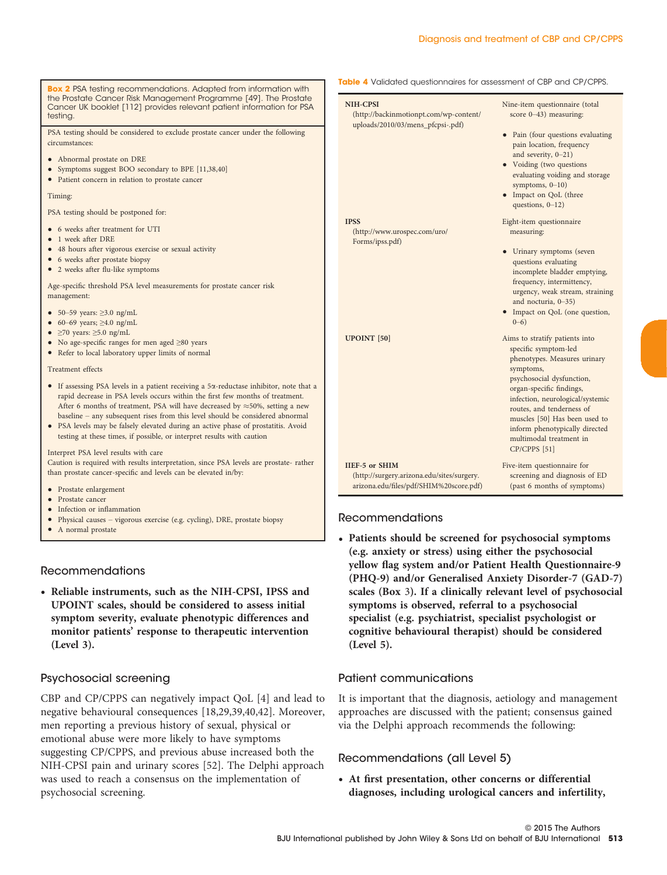Box 2 PSA testing recommendations. Adapted from information with the Prostate Cancer Risk Management Programme [49]. The Prostate Cancer UK booklet [112] provides relevant patient information for PSA testing. PSA testing should be considered to exclude prostate cancer under the following circumstances: • Abnormal prostate on DRE • Symptoms suggest BOO secondary to BPE [11,38,40] • Patient concern in relation to prostate cancer Timing: PSA testing should be postponed for: • 6 weeks after treatment for UTI 1 week after DRE • 48 hours after vigorous exercise or sexual activity • 6 weeks after prostate biopsy • 2 weeks after flu-like symptoms Age-specific threshold PSA level measurements for prostate cancer risk management: • 50–59 years:  $\geq$ 3.0 ng/mL • 60–69 years;  $\geq 4.0$  ng/mL •  $\geq 70$  years:  $\geq 5.0$  ng/mL • No age-specific ranges for men aged <sup>≥</sup>80 years • Refer to local laboratory upper limits of normal Treatment effects  $\bullet$  If assessing PSA levels in a patient receiving a 5 $\alpha$ -reductase inhibitor, note that a rapid decrease in PSA levels occurs within the first few months of treatment. After 6 months of treatment, PSA will have decreased by  $\approx$  50%, setting a new baseline – any subsequent rises from this level should be considered abnormal • PSA levels may be falsely elevated during an active phase of prostatitis. Avoid testing at these times, if possible, or interpret results with caution Interpret PSA level results with care NIH-CPSI IPSS

Caution is required with results interpretation, since PSA levels are prostate- rather than prostate cancer-specific and levels can be elevated in/by:

- Prostate enlargement
- Prostate cancer
- Infection or inflammation
- Physical causes vigorous exercise (e.g. cycling), DRE, prostate biopsy
- A normal prostate

Recommendations

• Reliable instruments, such as the NIH-CPSI, IPSS and UPOINT scales, should be considered to assess initial symptom severity, evaluate phenotypic differences and monitor patients' response to therapeutic intervention (Level 3).

# Psychosocial screening

CBP and CP/CPPS can negatively impact QoL [4] and lead to negative behavioural consequences [18,29,39,40,42]. Moreover, men reporting a previous history of sexual, physical or emotional abuse were more likely to have symptoms suggesting CP/CPPS, and previous abuse increased both the NIH-CPSI pain and urinary scores [52]. The Delphi approach was used to reach a consensus on the implementation of psychosocial screening.

Table 4 Validated questionnaires for assessment of CBP and CP/CPPS.

| <b>NIH-CPSI</b><br>(http://backinmotionpt.com/wp-content/<br>uploads/2010/03/mens_pfcpsi-.pdf)                 | Nine-item questionnaire (total<br>score 0-43) measuring:<br>• Pain (four questions evaluating<br>pain location, frequency<br>and severity, 0-21)<br>• Voiding (two questions<br>evaluating voiding and storage<br>symptoms, $0-10$ )<br>• Impact on QoL (three<br>questions, 0-12)                                                                     |
|----------------------------------------------------------------------------------------------------------------|--------------------------------------------------------------------------------------------------------------------------------------------------------------------------------------------------------------------------------------------------------------------------------------------------------------------------------------------------------|
| <b>IPSS</b><br>(http://www.urospec.com/uro/<br>Forms/ipss.pdf)                                                 | Eight-item questionnaire<br>measuring:                                                                                                                                                                                                                                                                                                                 |
|                                                                                                                | • Urinary symptoms (seven<br>questions evaluating<br>incomplete bladder emptying,<br>frequency, intermittency,<br>urgency, weak stream, straining<br>and nocturia, 0-35)<br>Impact on QoL (one question,<br>$0 - 6$ )                                                                                                                                  |
| <b>UPOINT</b> [50]                                                                                             | Aims to stratify patients into<br>specific symptom-led<br>phenotypes. Measures urinary<br>symptoms,<br>psychosocial dysfunction,<br>organ-specific findings,<br>infection, neurological/systemic<br>routes, and tenderness of<br>muscles [50] Has been used to<br>inform phenotypically directed<br>multimodal treatment in<br>CP/CPPS <sup>[51]</sup> |
| <b>IIEF-5 or SHIM</b><br>(http://surgery.arizona.edu/sites/surgery.<br>arizona.edu/files/pdf/SHIM%20score.pdf) | Five-item questionnaire for<br>screening and diagnosis of ED<br>(past 6 months of symptoms)                                                                                                                                                                                                                                                            |

### Recommendations

• Patients should be screened for psychosocial symptoms (e.g. anxiety or stress) using either the psychosocial yellow flag system and/or Patient Health Questionnaire-9 (PHQ-9) and/or Generalised Anxiety Disorder-7 (GAD-7) scales (Box 3). If a clinically relevant level of psychosocial symptoms is observed, referral to a psychosocial specialist (e.g. psychiatrist, specialist psychologist or cognitive behavioural therapist) should be considered (Level 5).

### Patient communications

It is important that the diagnosis, aetiology and management approaches are discussed with the patient; consensus gained via the Delphi approach recommends the following:

### Recommendations (all Level 5)

• At first presentation, other concerns or differential diagnoses, including urological cancers and infertility,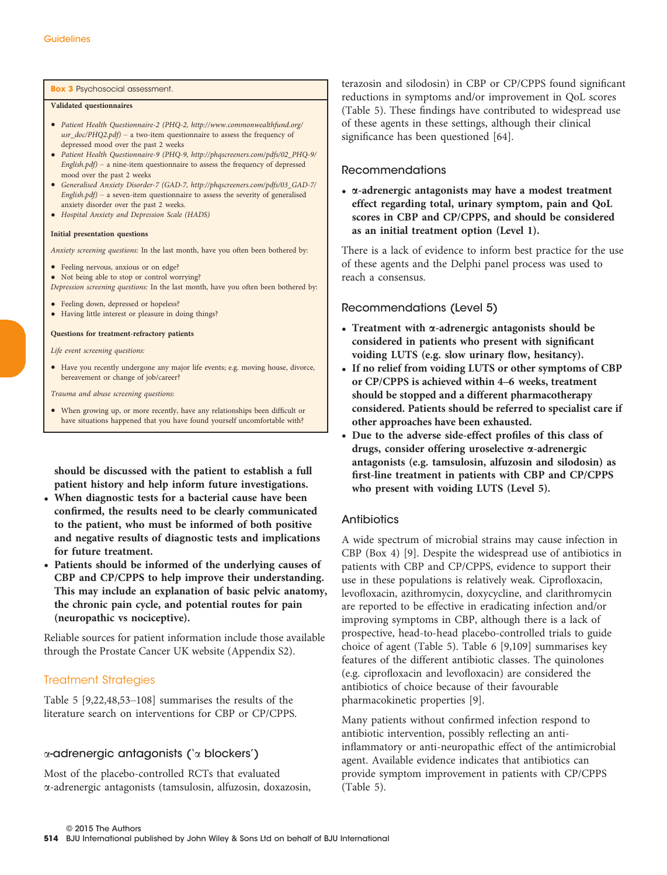|           | <b>Box 3</b> Psychosocial assessment.                                                                                                                                                                                                                                                                                                                                                          |
|-----------|------------------------------------------------------------------------------------------------------------------------------------------------------------------------------------------------------------------------------------------------------------------------------------------------------------------------------------------------------------------------------------------------|
|           | <b>Validated questionnaires</b>                                                                                                                                                                                                                                                                                                                                                                |
|           | Patient Health Questionnaire-2 (PHQ-2, http://www.commonwealthfund.org/<br>$usr\_doc/PHQ2.pdf$ – a two-item questionnaire to assess the frequency of<br>depressed mood over the past 2 weeks<br>• Patient Health Questionnaire-9 (PHQ-9, http://phqscreeners.com/pdfs/02_PHQ-9/<br>English.pdf) – a nine-item questionnaire to assess the frequency of depressed<br>mood over the past 2 weeks |
|           | • Generalised Anxiety Disorder-7 (GAD-7, http://phqscreeners.com/pdfs/03_GAD-7/<br>English.pdf) – a seven-item questionnaire to assess the severity of generalised<br>anxiety disorder over the past 2 weeks.<br>• Hospital Anxiety and Depression Scale (HADS)                                                                                                                                |
|           | Initial presentation questions                                                                                                                                                                                                                                                                                                                                                                 |
|           | Anxiety screening questions: In the last month, have you often been bothered by:                                                                                                                                                                                                                                                                                                               |
|           | • Feeling nervous, anxious or on edge?<br>• Not being able to stop or control worrying?<br>Depression screening questions: In the last month, have you often been bothered by:                                                                                                                                                                                                                 |
|           | • Feeling down, depressed or hopeless?<br>• Having little interest or pleasure in doing things?                                                                                                                                                                                                                                                                                                |
|           | Questions for treatment-refractory patients                                                                                                                                                                                                                                                                                                                                                    |
|           | Life event screening questions:                                                                                                                                                                                                                                                                                                                                                                |
| $\bullet$ | Have you recently undergone any major life events; e.g. moving house, divorce,<br>bereavement or change of job/career?                                                                                                                                                                                                                                                                         |
|           | Trauma and abuse screening questions:                                                                                                                                                                                                                                                                                                                                                          |

• When growing up, or more recently, have any relationships been difficult or have situations happened that you have found yourself uncomfortable with?

should be discussed with the patient to establish a full patient history and help inform future investigations.

- When diagnostic tests for a bacterial cause have been confirmed, the results need to be clearly communicated to the patient, who must be informed of both positive and negative results of diagnostic tests and implications for future treatment.
- Patients should be informed of the underlying causes of CBP and CP/CPPS to help improve their understanding. This may include an explanation of basic pelvic anatomy, the chronic pain cycle, and potential routes for pain (neuropathic vs nociceptive).

Reliable sources for patient information include those available through the Prostate Cancer UK website (Appendix S2).

# Treatment Strategies

Table 5 [9,22,48,53–108] summarises the results of the literature search on interventions for CBP or CP/CPPS.

# $\alpha$ -adrenergic antagonists ( $\alpha$  blockers')

Most of the placebo-controlled RCTs that evaluated a-adrenergic antagonists (tamsulosin, alfuzosin, doxazosin, terazosin and silodosin) in CBP or CP/CPPS found significant reductions in symptoms and/or improvement in QoL scores (Table 5). These findings have contributed to widespread use of these agents in these settings, although their clinical significance has been questioned [64].

### Recommendations

 $\bullet$   $\alpha$ -adrenergic antagonists may have a modest treatment effect regarding total, urinary symptom, pain and QoL scores in CBP and CP/CPPS, and should be considered as an initial treatment option (Level 1).

There is a lack of evidence to inform best practice for the use of these agents and the Delphi panel process was used to reach a consensus.

### Recommendations (Level 5)

- Treatment with  $\alpha$ -adrenergic antagonists should be considered in patients who present with significant voiding LUTS (e.g. slow urinary flow, hesitancy).
- If no relief from voiding LUTS or other symptoms of CBP or CP/CPPS is achieved within 4–6 weeks, treatment should be stopped and a different pharmacotherapy considered. Patients should be referred to specialist care if other approaches have been exhausted.
- Due to the adverse side-effect profiles of this class of drugs, consider offering uroselective  $\alpha$ -adrenergic antagonists (e.g. tamsulosin, alfuzosin and silodosin) as first-line treatment in patients with CBP and CP/CPPS who present with voiding LUTS (Level 5).

### **Antibiotics**

A wide spectrum of microbial strains may cause infection in CBP (Box 4) [9]. Despite the widespread use of antibiotics in patients with CBP and CP/CPPS, evidence to support their use in these populations is relatively weak. Ciprofloxacin, levofloxacin, azithromycin, doxycycline, and clarithromycin are reported to be effective in eradicating infection and/or improving symptoms in CBP, although there is a lack of prospective, head-to-head placebo-controlled trials to guide choice of agent (Table 5). Table 6 [9,109] summarises key features of the different antibiotic classes. The quinolones (e.g. ciprofloxacin and levofloxacin) are considered the antibiotics of choice because of their favourable pharmacokinetic properties [9].

Many patients without confirmed infection respond to antibiotic intervention, possibly reflecting an antiinflammatory or anti-neuropathic effect of the antimicrobial agent. Available evidence indicates that antibiotics can provide symptom improvement in patients with CP/CPPS (Table 5).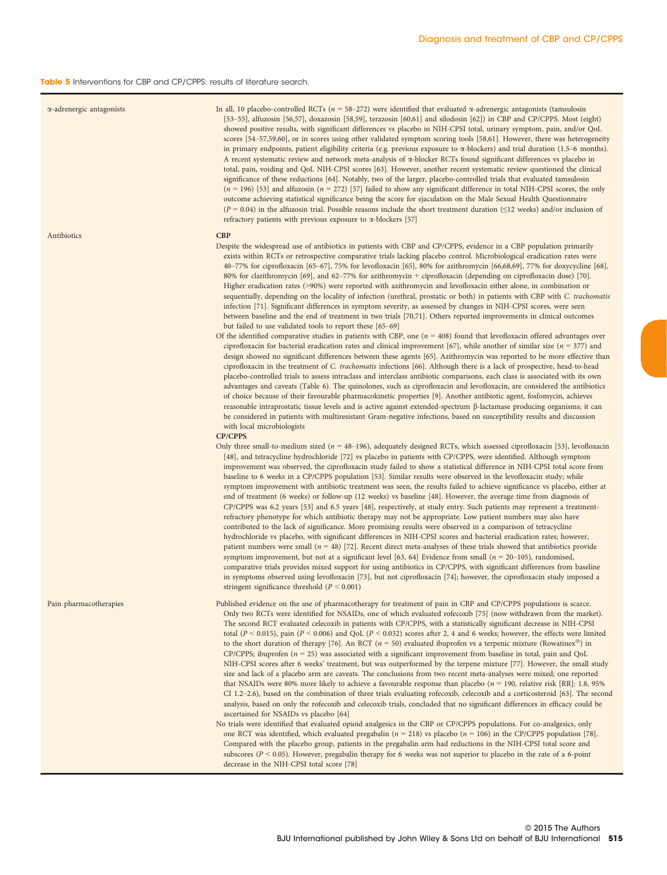#### Table 5 Interventions for CBP and CP/CPPS: results of literature search.

| $\alpha$ -adrenergic antagonists | In all, 10 placebo-controlled RCTs ( $n = 58-272$ ) were identified that evaluated $\alpha$ -adrenergic antagonists (tamsulosin<br>[53–55], alfuzosin [56,57], doxazosin [58,59], terazosin [60,61] and silodosin [62]) in CBP and CP/CPPS. Most (eight)<br>showed positive results, with significant differences vs placebo in NIH-CPSI total, urinary symptom, pain, and/or QoL<br>scores [54–57,59,60], or in scores using other validated symptom scoring tools [58,61]. However, there was heterogeneity<br>in primary endpoints, patient eligibility criteria (e.g. previous exposure to $\alpha$ -blockers) and trial duration (1.5–6 months).<br>A recent systematic review and network meta-analysis of $\alpha$ -blocker RCTs found significant differences vs placebo in<br>total, pain, voiding and QoL NIH-CPSI scores [63]. However, another recent systematic review questioned the clinical<br>significance of these reductions [64]. Notably, two of the larger, placebo-controlled trials that evaluated tamsulosin<br>$(n = 196)$ [53] and alfuzosin $(n = 272)$ [57] failed to show any significant difference in total NIH-CPSI scores, the only<br>outcome achieving statistical significance being the score for ejaculation on the Male Sexual Health Questionnaire<br>$(P = 0.04)$ in the alfuzosin trial. Possible reasons include the short treatment duration ( $\leq$ 12 weeks) and/or inclusion of<br>refractory patients with previous exposure to $\alpha$ -blockers [57]                                                                                                                                                                                                                                                                                                                                                                                                                                                                                                                                                                                                                                                                                                                                                                                                                                                                                                                                                                                                                                                                                                                                                                                                                                                                                                                                                                                                                                                                                                                                                                                                                                                                                                                                                                                                                                                                                                                                                                                                                                                                                                                                                                                                                                                                                                                                                                                                                                                                                                                                                              |
|----------------------------------|------------------------------------------------------------------------------------------------------------------------------------------------------------------------------------------------------------------------------------------------------------------------------------------------------------------------------------------------------------------------------------------------------------------------------------------------------------------------------------------------------------------------------------------------------------------------------------------------------------------------------------------------------------------------------------------------------------------------------------------------------------------------------------------------------------------------------------------------------------------------------------------------------------------------------------------------------------------------------------------------------------------------------------------------------------------------------------------------------------------------------------------------------------------------------------------------------------------------------------------------------------------------------------------------------------------------------------------------------------------------------------------------------------------------------------------------------------------------------------------------------------------------------------------------------------------------------------------------------------------------------------------------------------------------------------------------------------------------------------------------------------------------------------------------------------------------------------------------------------------------------------------------------------------------------------------------------------------------------------------------------------------------------------------------------------------------------------------------------------------------------------------------------------------------------------------------------------------------------------------------------------------------------------------------------------------------------------------------------------------------------------------------------------------------------------------------------------------------------------------------------------------------------------------------------------------------------------------------------------------------------------------------------------------------------------------------------------------------------------------------------------------------------------------------------------------------------------------------------------------------------------------------------------------------------------------------------------------------------------------------------------------------------------------------------------------------------------------------------------------------------------------------------------------------------------------------------------------------------------------------------------------------------------------------------------------------------------------------------------------------------------------------------------------------------------------------------------------------------------------------------------------------------------------------------------------------------------------------------------------------------------------------------------------------------------------------------------------------------------------------------------------------------------------------------------------------------------------------------------------------------------------------------------------------------------------------------------------------------------------------------------------------------------------------------------------------|
| Antibiotics                      | <b>CBP</b><br>Despite the widespread use of antibiotics in patients with CBP and CP/CPPS, evidence in a CBP population primarily<br>exists within RCTs or retrospective comparative trials lacking placebo control. Microbiological eradication rates were<br>40–77% for ciprofloxacin [65–67], 75% for levofloxacin [65], 80% for azithromycin [66,68,69], 77% for doxycycline [68],<br>80% for clarithromycin [69], and 62–77% for azithromycin + ciprofloxacin (depending on ciprofloxacin dose) [70].<br>Higher eradication rates (>90%) were reported with azithromycin and levofloxacin either alone, in combination or<br>sequentially, depending on the locality of infection (urethral, prostatic or both) in patients with CBP with C. trachomatis<br>infection [71]. Significant differences in symptom severity, as assessed by changes in NIH-CPSI scores, were seen<br>between baseline and the end of treatment in two trials [70,71]. Others reported improvements in clinical outcomes<br>but failed to use validated tools to report these [65–69]<br>Of the identified comparative studies in patients with CBP, one $(n = 408)$ found that levofloxacin offered advantages over<br>ciprofloxacin for bacterial eradication rates and clinical improvement [67], while another of similar size ( $n = 377$ ) and<br>design showed no significant differences between these agents [65]. Azithromycin was reported to be more effective than<br>ciprofloxacin in the treatment of C. trachomatis infections [66]. Although there is a lack of prospective, head-to-head<br>placebo-controlled trials to assess intraclass and interclass antibiotic comparisons, each class is associated with its own<br>advantages and caveats (Table 6). The quinolones, such as ciprofloxacin and levofloxacin, are considered the antibiotics<br>of choice because of their favourable pharmacokinetic properties [9]. Another antibiotic agent, fosfomycin, achieves<br>reasonable intraprostatic tissue levels and is active against extended-spectrum β-lactamase producing organisms; it can<br>be considered in patients with multiresistant Gram-negative infections, based on susceptibility results and discussion<br>with local microbiologists<br><b>CP/CPPS</b><br>Only three small-to-medium sized ( $n = 48-196$ ), adequately designed RCTs, which assessed ciprofloxacin [53], levofloxacin<br>[48], and tetracycline hydrochloride [72] vs placebo in patients with CP/CPPS, were identified. Although symptom<br>improvement was observed, the ciprofloxacin study failed to show a statistical difference in NIH-CPSI total score from<br>baseline to 6 weeks in a CP/CPPS population [53]. Similar results were observed in the levofloxacin study; while<br>symptom improvement with antibiotic treatment was seen, the results failed to achieve significance vs placebo, either at<br>end of treatment (6 weeks) or follow-up (12 weeks) vs baseline [48]. However, the average time from diagnosis of<br>CP/CPPS was 6.2 years [53] and 6.5 years [48], respectively, at study entry. Such patients may represent a treatment-<br>refractory phenotype for which antibiotic therapy may not be appropriate. Low patient numbers may also have<br>contributed to the lack of significance. More promising results were observed in a comparison of tetracycline<br>hydrochloride vs placebo, with significant differences in NIH-CPSI scores and bacterial eradication rates; however,<br>patient numbers were small ( $n = 48$ ) [72]. Recent direct meta-analyses of these trials showed that antibiotics provide<br>symptom improvement, but not at a significant level [63, 64] Evidence from small ( $n = 20-105$ ), randomised,<br>comparative trials provides mixed support for using antibiotics in CP/CPPS, with significant differences from baseline<br>in symptoms observed using levofloxacin [73], but not ciprofloxacin [74]; however, the ciprofloxacin study imposed a<br>stringent significance threshold $(P < 0.001)$ |
| Pain pharmacotherapies           | Published evidence on the use of pharmacotherapy for treatment of pain in CBP and CP/CPPS populations is scarce.<br>Only two RCTs were identified for NSAIDs, one of which evaluated rofecoxib [75] (now withdrawn from the market).<br>The second RCT evaluated celecoxib in patients with CP/CPPS, with a statistically significant decrease in NIH-CPSI<br>total ( $P < 0.015$ ), pain ( $P < 0.006$ ) and QoL ( $P < 0.032$ ) scores after 2, 4 and 6 weeks; however, the effects were limited<br>to the short duration of therapy [76]. An RCT ( $n = 50$ ) evaluated ibuprofen vs a terpenic mixture (Rowatinex <sup>®</sup> ) in<br>CP/CPPS; ibuprofen ( $n = 25$ ) was associated with a significant improvement from baseline in total, pain and QoL<br>NIH-CPSI scores after 6 weeks' treatment, but was outperformed by the terpene mixture [77]. However, the small study<br>size and lack of a placebo arm are caveats. The conclusions from two recent meta-analyses were mixed; one reported<br>that NSAIDs were 80% more likely to achieve a favourable response than placebo ( $n = 190$ , relative risk [RR]: 1.8, 95%<br>CI 1.2–2.6), based on the combination of three trials evaluating rofecoxib, celecoxib and a corticosteroid [63]. The second<br>analysis, based on only the rofecoxib and celecoxib trials, concluded that no significant differences in efficacy could be<br>ascertained for NSAIDs vs placebo [64]<br>No trials were identified that evaluated opioid analgesics in the CBP or CP/CPPS populations. For co-analgesics, only<br>one RCT was identified, which evaluated pregabalin ( $n = 218$ ) vs placebo ( $n = 106$ ) in the CP/CPPS population [78].<br>Compared with the placebo group, patients in the pregabalin arm had reductions in the NIH-CPSI total score and<br>subscores ( $P < 0.05$ ). However, pregabalin therapy for 6 weeks was not superior to placebo in the rate of a 6-point<br>decrease in the NIH-CPSI total score [78]                                                                                                                                                                                                                                                                                                                                                                                                                                                                                                                                                                                                                                                                                                                                                                                                                                                                                                                                                                                                                                                                                                                                                                                                                                                                                                                                                                                                                                                                                                                                                                                                                                                                                                                                                                                                                                                                                                                                                                                                                                                                         |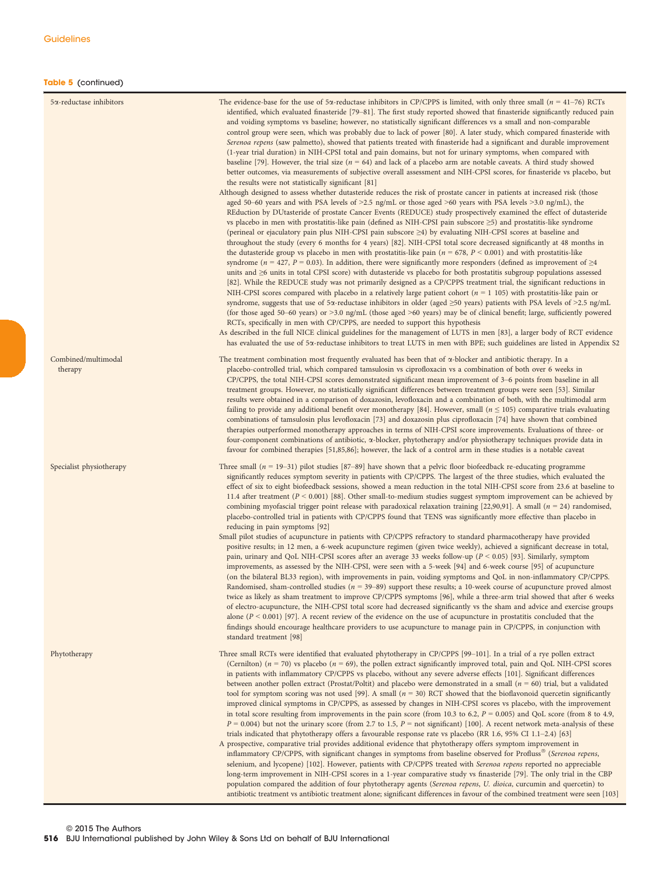### Table 5 (continued)

| $5\alpha$ -reductase inhibitors | The evidence-base for the use of 5 $\alpha$ -reductase inhibitors in CP/CPPS is limited, with only three small ( $n = 41-76$ ) RCTs<br>identified, which evaluated finasteride [79–81]. The first study reported showed that finasteride significantly reduced pain<br>and voiding symptoms vs baseline; however, no statistically significant differences vs a small and non-comparable<br>control group were seen, which was probably due to lack of power [80]. A later study, which compared finasteride with<br>Serenoa repens (saw palmetto), showed that patients treated with finasteride had a significant and durable improvement<br>(1-year trial duration) in NIH-CPSI total and pain domains, but not for urinary symptoms, when compared with<br>baseline [79]. However, the trial size ( $n = 64$ ) and lack of a placebo arm are notable caveats. A third study showed<br>better outcomes, via measurements of subjective overall assessment and NIH-CPSI scores, for finasteride vs placebo, but<br>the results were not statistically significant [81]<br>Although designed to assess whether dutasteride reduces the risk of prostate cancer in patients at increased risk (those<br>aged 50–60 years and with PSA levels of >2.5 ng/mL or those aged >60 years with PSA levels >3.0 ng/mL), the<br>REduction by DUtasteride of prostate Cancer Events (REDUCE) study prospectively examined the effect of dutasteride<br>vs placebo in men with prostatitis-like pain (defined as NIH-CPSI pain subscore $\geq$ 5) and prostatitis-like syndrome<br>(perineal or ejaculatory pain plus NIH-CPSI pain subscore ≥4) by evaluating NIH-CPSI scores at baseline and<br>throughout the study (every 6 months for 4 years) [82]. NIH-CPSI total score decreased significantly at 48 months in<br>the dutasteride group vs placebo in men with prostatitis-like pain ( $n = 678$ , $P < 0.001$ ) and with prostatitis-like<br>syndrome ( $n = 427$ , $P = 0.03$ ). In addition, there were significantly more responders (defined as improvement of $\geq 4$<br>units and $\geq$ 6 units in total CPSI score) with dutasteride vs placebo for both prostatitis subgroup populations assessed<br>[82]. While the REDUCE study was not primarily designed as a CP/CPPS treatment trial, the significant reductions in<br>NIH-CPSI scores compared with placebo in a relatively large patient cohort ( $n = 1$ 105) with prostatitis-like pain or<br>syndrome, suggests that use of 5 $\alpha$ -reductase inhibitors in older (aged $\geq$ 50 years) patients with PSA levels of >2.5 ng/mL<br>(for those aged 50–60 years) or $>3.0$ ng/mL (those aged $>60$ years) may be of clinical benefit; large, sufficiently powered<br>RCTs, specifically in men with CP/CPPS, are needed to support this hypothesis<br>As described in the full NICE clinical guidelines for the management of LUTS in men [83], a larger body of RCT evidence<br>has evaluated the use of 5x-reductase inhibitors to treat LUTS in men with BPE; such guidelines are listed in Appendix S2 |
|---------------------------------|---------------------------------------------------------------------------------------------------------------------------------------------------------------------------------------------------------------------------------------------------------------------------------------------------------------------------------------------------------------------------------------------------------------------------------------------------------------------------------------------------------------------------------------------------------------------------------------------------------------------------------------------------------------------------------------------------------------------------------------------------------------------------------------------------------------------------------------------------------------------------------------------------------------------------------------------------------------------------------------------------------------------------------------------------------------------------------------------------------------------------------------------------------------------------------------------------------------------------------------------------------------------------------------------------------------------------------------------------------------------------------------------------------------------------------------------------------------------------------------------------------------------------------------------------------------------------------------------------------------------------------------------------------------------------------------------------------------------------------------------------------------------------------------------------------------------------------------------------------------------------------------------------------------------------------------------------------------------------------------------------------------------------------------------------------------------------------------------------------------------------------------------------------------------------------------------------------------------------------------------------------------------------------------------------------------------------------------------------------------------------------------------------------------------------------------------------------------------------------------------------------------------------------------------------------------------------------------------------------------------------------------------------------------------------------------------------------------------------------------------------------------------------------------------------------------------------------------------------------------------------------------------------------------------------------------------------------------------------------------------------------------------------------------------------------------------------------|
| Combined/multimodal<br>therapy  | The treatment combination most frequently evaluated has been that of $\alpha$ -blocker and antibiotic therapy. In a<br>placebo-controlled trial, which compared tamsulosin vs ciprofloxacin vs a combination of both over 6 weeks in<br>CP/CPPS, the total NIH-CPSI scores demonstrated significant mean improvement of 3–6 points from baseline in all<br>treatment groups. However, no statistically significant differences between treatment groups were seen [53]. Similar<br>results were obtained in a comparison of doxazosin, levofloxacin and a combination of both, with the multimodal arm<br>failing to provide any additional benefit over monotherapy [84]. However, small ( $n \le 105$ ) comparative trials evaluating<br>combinations of tamsulosin plus levofloxacin [73] and doxazosin plus ciprofloxacin [74] have shown that combined<br>therapies outperformed monotherapy approaches in terms of NIH-CPSI score improvements. Evaluations of three- or<br>four-component combinations of antibiotic, x-blocker, phytotherapy and/or physiotherapy techniques provide data in<br>favour for combined therapies [51,85,86]; however, the lack of a control arm in these studies is a notable caveat                                                                                                                                                                                                                                                                                                                                                                                                                                                                                                                                                                                                                                                                                                                                                                                                                                                                                                                                                                                                                                                                                                                                                                                                                                                                                                                                                                                                                                                                                                                                                                                                                                                                                                                                                                                                                                                       |
| Specialist physiotherapy        | Three small $(n = 19-31)$ pilot studies [87-89] have shown that a pelvic floor biofeedback re-educating programme<br>significantly reduces symptom severity in patients with CP/CPPS. The largest of the three studies, which evaluated the<br>effect of six to eight biofeedback sessions, showed a mean reduction in the total NIH-CPSI score from 23.6 at baseline to<br>11.4 after treatment ( $P < 0.001$ ) [88]. Other small-to-medium studies suggest symptom improvement can be achieved by<br>combining myofascial trigger point release with paradoxical relaxation training [22,90,91]. A small ( $n = 24$ ) randomised,<br>placebo-controlled trial in patients with CP/CPPS found that TENS was significantly more effective than placebo in<br>reducing in pain symptoms [92]<br>Small pilot studies of acupuncture in patients with CP/CPPS refractory to standard pharmacotherapy have provided<br>positive results; in 12 men, a 6-week acupuncture regimen (given twice weekly), achieved a significant decrease in total,<br>pain, urinary and QoL NIH-CPSI scores after an average 33 weeks follow-up ( $P \le 0.05$ ) [93]. Similarly, symptom<br>improvements, as assessed by the NIH-CPSI, were seen with a 5-week [94] and 6-week course [95] of acupuncture<br>(on the bilateral BL33 region), with improvements in pain, voiding symptoms and QoL in non-inflammatory CP/CPPS.<br>Randomised, sham-controlled studies ( $n = 39-89$ ) support these results; a 10-week course of acupuncture proved almost<br>twice as likely as sham treatment to improve CP/CPPS symptoms [96], while a three-arm trial showed that after 6 weeks<br>of electro-acupuncture, the NIH-CPSI total score had decreased significantly vs the sham and advice and exercise groups<br>alone ( $P \le 0.001$ ) [97]. A recent review of the evidence on the use of acupuncture in prostatitis concluded that the<br>findings should encourage healthcare providers to use acupuncture to manage pain in CP/CPPS, in conjunction with<br>standard treatment [98]                                                                                                                                                                                                                                                                                                                                                                                                                                                                                                                                                                                                                                                                                                                                                                                                                                                                                                                                                                                                            |
| Phytotherapy                    | Three small RCTs were identified that evaluated phytotherapy in CP/CPPS [99-101]. In a trial of a rye pollen extract<br>(Cernilton) ( $n = 70$ ) vs placebo ( $n = 69$ ), the pollen extract significantly improved total, pain and QoL NIH-CPSI scores<br>in patients with inflammatory CP/CPPS vs placebo, without any severe adverse effects [101]. Significant differences<br>between another pollen extract (Prostat/Poltit) and placebo were demonstrated in a small ( $n = 60$ ) trial, but a validated<br>tool for symptom scoring was not used [99]. A small $(n = 30)$ RCT showed that the bioflavonoid quercetin significantly<br>improved clinical symptoms in CP/CPPS, as assessed by changes in NIH-CPSI scores vs placebo, with the improvement<br>in total score resulting from improvements in the pain score (from 10.3 to 6.2, $P = 0.005$ ) and QoL score (from 8 to 4.9,<br>$P = 0.004$ ) but not the urinary score (from 2.7 to 1.5, P = not significant) [100]. A recent network meta-analysis of these<br>trials indicated that phytotherapy offers a favourable response rate vs placebo (RR 1.6, 95% CI 1.1–2.4) [63]<br>A prospective, comparative trial provides additional evidence that phytotherapy offers symptom improvement in<br>inflammatory CP/CPPS, with significant changes in symptoms from baseline observed for Profluss® (Serenoa repens,<br>selenium, and lycopene) [102]. However, patients with CP/CPPS treated with Serenoa repens reported no appreciable<br>long-term improvement in NIH-CPSI scores in a 1-year comparative study vs finasteride [79]. The only trial in the CBP<br>population compared the addition of four phytotherapy agents (Serenoa repens, U. dioica, curcumin and quercetin) to<br>antibiotic treatment vs antibiotic treatment alone; significant differences in favour of the combined treatment were seen [103]                                                                                                                                                                                                                                                                                                                                                                                                                                                                                                                                                                                                                                                                                                                                                                                                                                                                                                                                                                                                                                                                                                                                                                                    |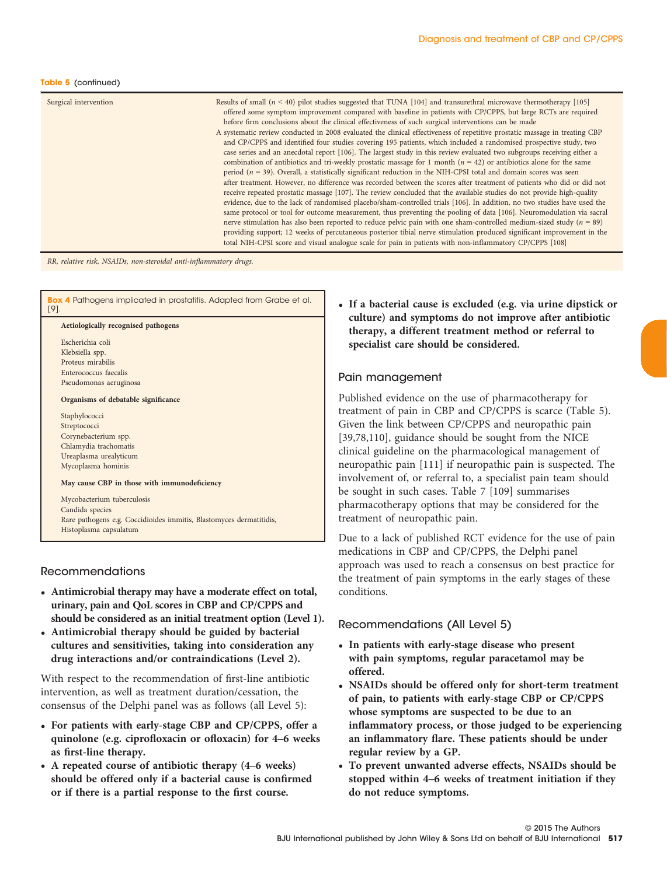#### Table 5 (continued)

Surgical intervention Results of small (n < 40) pilot studies suggested that TUNA [104] and transurethral microwave thermotherapy [105] offered some symptom improvement compared with baseline in patients with CP/CPPS, but large RCTs are required before firm conclusions about the clinical effectiveness of such surgical interventions can be made A systematic review conducted in 2008 evaluated the clinical effectiveness of repetitive prostatic massage in treating CBP and CP/CPPS and identified four studies covering 195 patients, which included a randomised prospective study, two case series and an anecdotal report [106]. The largest study in this review evaluated two subgroups receiving either a combination of antibiotics and tri-weekly prostatic massage for 1 month ( $n = 42$ ) or antibiotics alone for the same period ( $n = 39$ ). Overall, a statistically significant reduction in the NIH-CPSI total and domain scores was seen after treatment. However, no difference was recorded between the scores after treatment of patients who did or did not receive repeated prostatic massage [107]. The review concluded that the available studies do not provide high-quality evidence, due to the lack of randomised placebo/sham-controlled trials [106]. In addition, no two studies have used the same protocol or tool for outcome measurement, thus preventing the pooling of data [106]. Neuromodulation via sacral nerve stimulation has also been reported to reduce pelvic pain with one sham-controlled medium-sized study ( $n = 89$ ) providing support; 12 weeks of percutaneous posterior tibial nerve stimulation produced significant improvement in the total NIH-CPSI score and visual analogue scale for pain in patients with non-inflammatory CP/CPPS [108]

RR, relative risk, NSAIDs, non-steroidal anti-inflammatory drugs.

| <b>Box 4</b> Pathogens implicated in prostatitis. Adapted from Grabe et al.<br>$[9]$ . |
|----------------------------------------------------------------------------------------|
| Aetiologically recognised pathogens                                                    |
| Escherichia coli                                                                       |
| Klebsiella spp.                                                                        |
| Proteus mirabilis                                                                      |
| Enterococcus faecalis                                                                  |
| Pseudomonas aeruginosa                                                                 |
| Organisms of debatable significance                                                    |
| Staphylococci                                                                          |
| Streptococci                                                                           |
| Corynebacterium spp.                                                                   |
| Chlamydia trachomatis                                                                  |
| Ureaplasma urealyticum                                                                 |
| Mycoplasma hominis                                                                     |
| May cause CBP in those with immunodeficiency                                           |
| Mycobacterium tuberculosis                                                             |
| Candida species                                                                        |
| Rare pathogens e.g. Coccidioides immitis, Blastomyces dermatitidis,                    |
| Histoplasma capsulatum                                                                 |

#### Recommendations

- Antimicrobial therapy may have a moderate effect on total, urinary, pain and QoL scores in CBP and CP/CPPS and should be considered as an initial treatment option (Level 1).
- Antimicrobial therapy should be guided by bacterial cultures and sensitivities, taking into consideration any drug interactions and/or contraindications (Level 2).

With respect to the recommendation of first-line antibiotic intervention, as well as treatment duration/cessation, the consensus of the Delphi panel was as follows (all Level 5):

- For patients with early-stage CBP and CP/CPPS, offer a quinolone (e.g. ciprofloxacin or ofloxacin) for 4–6 weeks as first-line therapy.
- A repeated course of antibiotic therapy (4–6 weeks) should be offered only if a bacterial cause is confirmed or if there is a partial response to the first course.

• If a bacterial cause is excluded (e.g. via urine dipstick or culture) and symptoms do not improve after antibiotic therapy, a different treatment method or referral to specialist care should be considered.

### Pain management

Published evidence on the use of pharmacotherapy for treatment of pain in CBP and CP/CPPS is scarce (Table 5). Given the link between CP/CPPS and neuropathic pain [39,78,110], guidance should be sought from the NICE clinical guideline on the pharmacological management of neuropathic pain [111] if neuropathic pain is suspected. The involvement of, or referral to, a specialist pain team should be sought in such cases. Table 7 [109] summarises pharmacotherapy options that may be considered for the treatment of neuropathic pain.

Due to a lack of published RCT evidence for the use of pain medications in CBP and CP/CPPS, the Delphi panel approach was used to reach a consensus on best practice for the treatment of pain symptoms in the early stages of these conditions.

#### Recommendations (All Level 5)

- In patients with early-stage disease who present with pain symptoms, regular paracetamol may be offered.
- NSAIDs should be offered only for short-term treatment of pain, to patients with early-stage CBP or CP/CPPS whose symptoms are suspected to be due to an inflammatory process, or those judged to be experiencing an inflammatory flare. These patients should be under regular review by a GP.
- To prevent unwanted adverse effects, NSAIDs should be stopped within 4–6 weeks of treatment initiation if they do not reduce symptoms.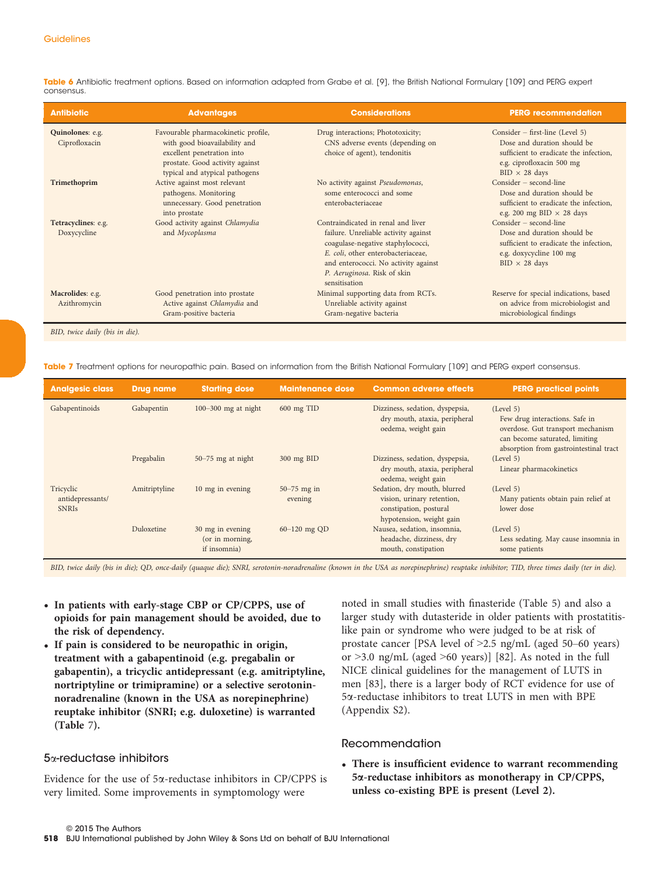Table 6 Antibiotic treatment options. Based on information adapted from Grabe et al. [9], the British National Formulary [109] and PERG expert consensus.

| <b>Antibiotic</b><br><b>Advantages</b> |                                                                                                                                                                         | <b>Considerations</b>                                                                                                                                                                                                                         | <b>PERG</b> recommendation                                                                                                                                    |  |
|----------------------------------------|-------------------------------------------------------------------------------------------------------------------------------------------------------------------------|-----------------------------------------------------------------------------------------------------------------------------------------------------------------------------------------------------------------------------------------------|---------------------------------------------------------------------------------------------------------------------------------------------------------------|--|
| Quinolones: e.g.<br>Ciprofloxacin      | Favourable pharmacokinetic profile,<br>with good bioavailability and<br>excellent penetration into<br>prostate. Good activity against<br>typical and atypical pathogens | Drug interactions; Phototoxicity;<br>CNS adverse events (depending on<br>choice of agent), tendonitis                                                                                                                                         | Consider – first-line (Level 5)<br>Dose and duration should be<br>sufficient to eradicate the infection,<br>e.g. ciprofloxacin 500 mg<br>$BID \times 28$ days |  |
| Trimethoprim                           | Active against most relevant<br>pathogens. Monitoring<br>unnecessary. Good penetration<br>into prostate                                                                 | No activity against Pseudomonas,<br>some enterococci and some<br>enterobacteriaceae                                                                                                                                                           | Consider - second-line<br>Dose and duration should be<br>sufficient to eradicate the infection,<br>e.g. 200 mg BID $\times$ 28 days                           |  |
| Tetracyclines: e.g.<br>Doxycycline     | Good activity against Chlamydia<br>and Mycoplasma                                                                                                                       | Contraindicated in renal and liver<br>failure. Unreliable activity against<br>coagulase-negative staphylococci,<br>E. coli, other enterobacteriaceae,<br>and enterococci. No activity against<br>P. Aeruginosa. Risk of skin<br>sensitisation | Consider - second-line<br>Dose and duration should be<br>sufficient to eradicate the infection.<br>e.g. doxycycline 100 mg<br>$BID \times 28$ days            |  |
| Macrolides: e.g.<br>Azithromycin       | Good penetration into prostate<br>Active against Chlamydia and<br>Gram-positive bacteria                                                                                | Minimal supporting data from RCTs.<br>Unreliable activity against<br>Gram-negative bacteria                                                                                                                                                   | Reserve for special indications, based<br>on advice from microbiologist and<br>microbiological findings                                                       |  |

BID, twice daily (bis in die).

Table 7 Treatment options for neuropathic pain. Based on information from the British National Formulary [109] and PERG expert consensus.

| <b>Analgesic class</b>                        | <b>Drug name</b> | <b>Starting dose</b>                                | <b>Maintenance dose</b>  | <b>Common adverse effects</b>                                                                                    | <b>PERG practical points</b>                                                                                                                                 |
|-----------------------------------------------|------------------|-----------------------------------------------------|--------------------------|------------------------------------------------------------------------------------------------------------------|--------------------------------------------------------------------------------------------------------------------------------------------------------------|
| Gabapentinoids                                | Gabapentin       | $100 - 300$ mg at night                             | $600$ mg TID             | Dizziness, sedation, dyspepsia,<br>dry mouth, ataxia, peripheral<br>oedema, weight gain                          | (Level 5)<br>Few drug interactions. Safe in<br>overdose. Gut transport mechanism<br>can become saturated, limiting<br>absorption from gastrointestinal tract |
|                                               | Pregabalin       | $50 - 75$ mg at night                               | 300 mg BID               | Dizziness, sedation, dyspepsia,<br>dry mouth, ataxia, peripheral<br>oedema, weight gain                          | (Level 5)<br>Linear pharmacokinetics                                                                                                                         |
| Tricyclic<br>antidepressants/<br><b>SNRIs</b> | Amitriptyline    | 10 mg in evening                                    | $50-75$ mg in<br>evening | Sedation, dry mouth, blurred<br>vision, urinary retention,<br>constipation, postural<br>hypotension, weight gain | (Level 5)<br>Many patients obtain pain relief at<br>lower dose                                                                                               |
|                                               | Duloxetine       | 30 mg in evening<br>(or in morning,<br>if insomnia) | $60-120$ mg QD           | Nausea, sedation, insomnia,<br>headache, dizziness, dry<br>mouth, constipation                                   | (Level 5)<br>Less sedating. May cause insomnia in<br>some patients                                                                                           |

BID, twice daily (bis in die); QD, once-daily (quaque die); SNRI, serotonin-noradrenaline (known in the USA as norepinephrine) reuptake inhibitor; TID, three times daily (ter in die).

- In patients with early-stage CBP or CP/CPPS, use of opioids for pain management should be avoided, due to the risk of dependency.
- If pain is considered to be neuropathic in origin, treatment with a gabapentinoid (e.g. pregabalin or gabapentin), a tricyclic antidepressant (e.g. amitriptyline, nortriptyline or trimipramine) or a selective serotoninnoradrenaline (known in the USA as norepinephrine) reuptake inhibitor (SNRI; e.g. duloxetine) is warranted (Table 7).

### 5a-reductase inhibitors

Evidence for the use of 5a-reductase inhibitors in CP/CPPS is very limited. Some improvements in symptomology were

noted in small studies with finasteride (Table 5) and also a larger study with dutasteride in older patients with prostatitislike pain or syndrome who were judged to be at risk of prostate cancer [PSA level of >2.5 ng/mL (aged 50–60 years) or >3.0 ng/mL (aged >60 years)] [82]. As noted in the full NICE clinical guidelines for the management of LUTS in men [83], there is a larger body of RCT evidence for use of 5a-reductase inhibitors to treat LUTS in men with BPE (Appendix S2).

#### Recommendation

• There is insufficient evidence to warrant recommending 5a-reductase inhibitors as monotherapy in CP/CPPS, unless co-existing BPE is present (Level 2).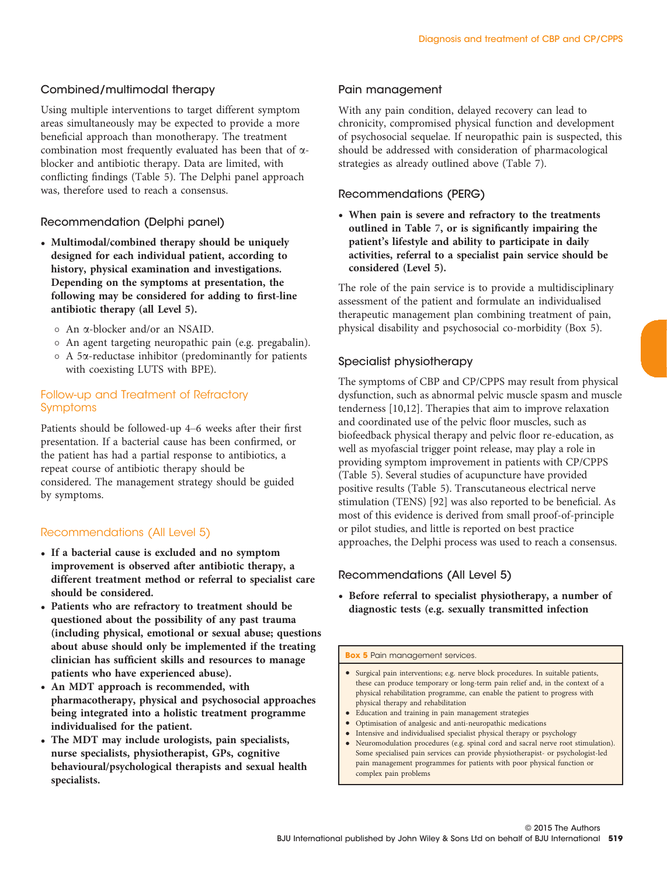# Combined/multimodal therapy

Using multiple interventions to target different symptom areas simultaneously may be expected to provide a more beneficial approach than monotherapy. The treatment combination most frequently evaluated has been that of  $\alpha$ blocker and antibiotic therapy. Data are limited, with conflicting findings (Table 5). The Delphi panel approach was, therefore used to reach a consensus.

# Recommendation (Delphi panel)

- Multimodal/combined therapy should be uniquely designed for each individual patient, according to history, physical examination and investigations. Depending on the symptoms at presentation, the following may be considered for adding to first-line antibiotic therapy (all Level 5).
	- <sup>o</sup> An a-blocker and/or an NSAID.
	- <sup>o</sup> An agent targeting neuropathic pain (e.g. pregabalin).
	- <sup>o</sup> A 5a-reductase inhibitor (predominantly for patients with coexisting LUTS with BPE).

### Follow-up and Treatment of Refractory Symptoms

Patients should be followed-up 4–6 weeks after their first presentation. If a bacterial cause has been confirmed, or the patient has had a partial response to antibiotics, a repeat course of antibiotic therapy should be considered. The management strategy should be guided by symptoms.

# Recommendations (All Level 5)

- If a bacterial cause is excluded and no symptom improvement is observed after antibiotic therapy, a different treatment method or referral to specialist care should be considered.
- Patients who are refractory to treatment should be questioned about the possibility of any past trauma (including physical, emotional or sexual abuse; questions about abuse should only be implemented if the treating clinician has sufficient skills and resources to manage patients who have experienced abuse).
- An MDT approach is recommended, with pharmacotherapy, physical and psychosocial approaches being integrated into a holistic treatment programme individualised for the patient.
- The MDT may include urologists, pain specialists, nurse specialists, physiotherapist, GPs, cognitive behavioural/psychological therapists and sexual health specialists.

### Pain management

With any pain condition, delayed recovery can lead to chronicity, compromised physical function and development of psychosocial sequelae. If neuropathic pain is suspected, this should be addressed with consideration of pharmacological strategies as already outlined above (Table 7).

# Recommendations (PERG)

• When pain is severe and refractory to the treatments outlined in Table 7, or is significantly impairing the patient's lifestyle and ability to participate in daily activities, referral to a specialist pain service should be considered (Level 5).

The role of the pain service is to provide a multidisciplinary assessment of the patient and formulate an individualised therapeutic management plan combining treatment of pain, physical disability and psychosocial co-morbidity (Box 5).

# Specialist physiotherapy

The symptoms of CBP and CP/CPPS may result from physical dysfunction, such as abnormal pelvic muscle spasm and muscle tenderness [10,12]. Therapies that aim to improve relaxation and coordinated use of the pelvic floor muscles, such as biofeedback physical therapy and pelvic floor re-education, as well as myofascial trigger point release, may play a role in providing symptom improvement in patients with CP/CPPS (Table 5). Several studies of acupuncture have provided positive results (Table 5). Transcutaneous electrical nerve stimulation (TENS) [92] was also reported to be beneficial. As most of this evidence is derived from small proof-of-principle or pilot studies, and little is reported on best practice approaches, the Delphi process was used to reach a consensus.

# Recommendations (All Level 5)

• Before referral to specialist physiotherapy, a number of diagnostic tests (e.g. sexually transmitted infection

#### **Box 5** Pain management services.

- Surgical pain interventions; e.g. nerve block procedures. In suitable patients, these can produce temporary or long-term pain relief and, in the context of a physical rehabilitation programme, can enable the patient to progress with physical therapy and rehabilitation
- Education and training in pain management strategies
- Optimisation of analgesic and anti-neuropathic medications
- Intensive and individualised specialist physical therapy or psychology • Neuromodulation procedures (e.g. spinal cord and sacral nerve root stimulation).
- Some specialised pain services can provide physiotherapist- or psychologist-led pain management programmes for patients with poor physical function or complex pain problems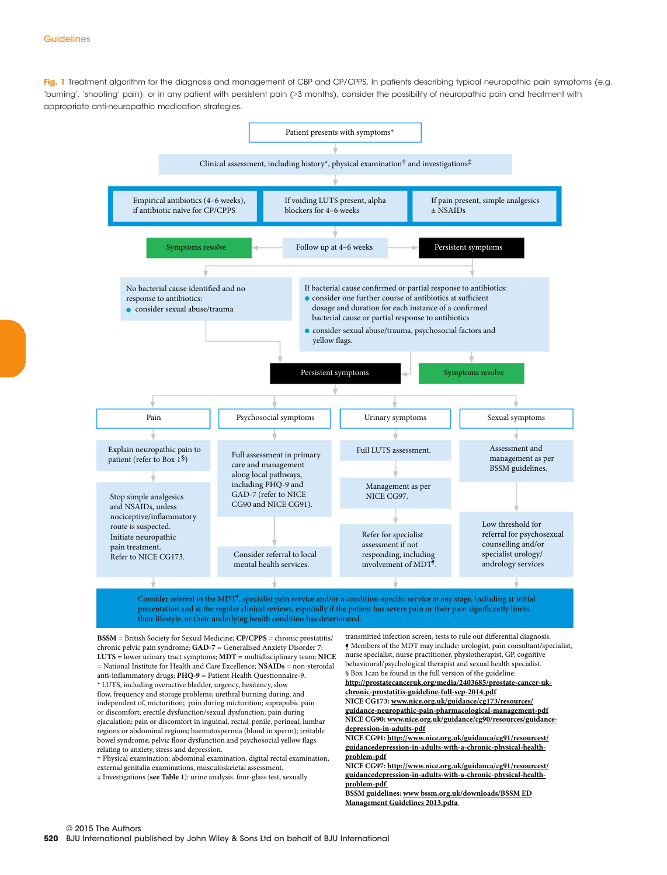Fig. 1 Treatment algorithm for the diagnosis and management of CBP and CP/CPPS. In patients describing typical neuropathic pain symptoms (e.g. 'burning', 'shooting' pain), or in any patient with persistent pain (>3 months), consider the possibility of neuropathic pain and treatment with appropriate anti-neuropathic medication strategies.



**BSSM** = British Society for Sexual Medicine; **CP/CPPS** = chronic prostatitis/ chronic pelvic pain syndrome; **GAD-7** = Generalised Anxiety Disorder 7: **LUTS** = lower urinary tract symptoms; **MDT** = multidisciplinary team; **NICE** = National Institute for Health and Care Excellence; **NSAIDs** = non-steroidal anti-inflammatory drugs; **PHQ-9** = Patient Health Questionnaire-9. \* LUTS, including overactive bladder, urgency, hesitancy, slow flow, frequency and storage problems; urethral burning during, and independent of, micturition; pain during micturition; suprapubic pain or discomfort; erectile dysfunction/sexual dysfunction; pain during ejaculation; pain or discomfort in inguinal, rectal, penile, perineal, lumbar regions or abdominal regions; haematospermia (blood in sperm); irritable bowel syndrome; pelvic floor dysfunction and psychosocial yellow flags relating to anxiety, stress and depression.

† Physical examination: abdominal examination, digital rectal examination, external genitalia examinations, musculoskeletal assessment. ‡ Investigations (**see Table 1**): urine analysis. four-glass test, sexually

transmitted infection screen, tests to rule out differential diagnosis. ¶ Members of the MDT may include: urologist, pain consultant/specialist, nurse specialist, nurse practitioner, physiotherapist, GP, cognitive behavioural/psychological therapist and sexual health specialist. § Box 1can be found in the full version of the guideline: **http://prostatecanceruk.org/media/2403685/prostate-cancer-uk-**

**chronic-prostatitis-guideline-full-sep-2014.pdf NICE CG173: www.nice.org.uk/guidance/cg173/resources/**

**guidance-neuropathic-pain-pharmacological-management-pdf NICE CG90: www.nice.org.uk/guidance/cg90/resources/guidancedepression-in-adults-pdf**

**NICE CG91: http://www.nice.org.uk/guidanca/cg91/resourcest/ guidancedepression-in-adults-with-a-chronic-physical-healthproblem-pdf**

**NICE CG97: http://www.nice.org.uk/guidanca/cg91/resourcest/ guidancedepression-in-adults-with-a-chronic-physical-healthproblem-pdf** 

**BSSM guidelines: www bssm.org.uk/downloads/BSSM ED Management Guidelines 2013.pdfa**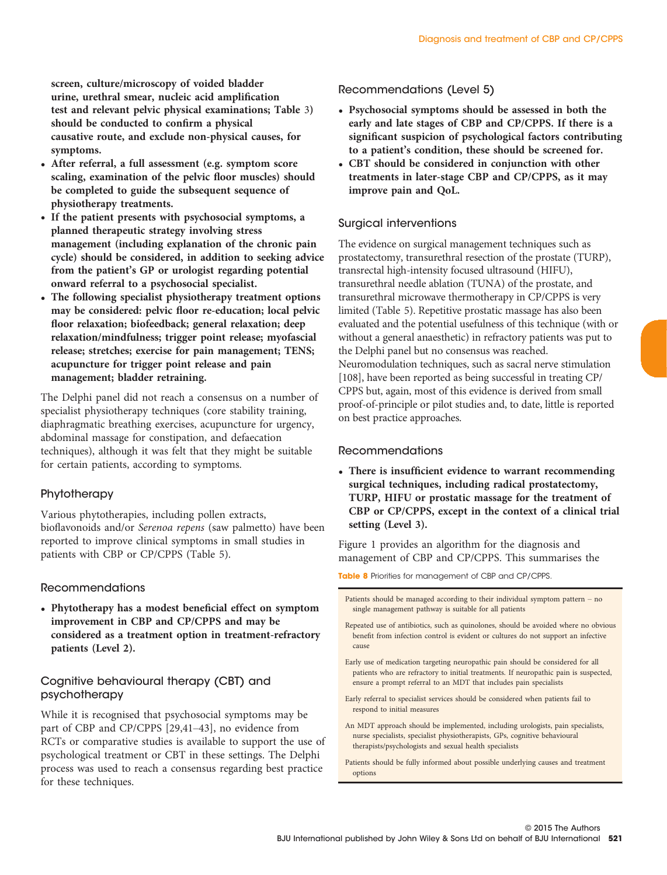screen, culture/microscopy of voided bladder urine, urethral smear, nucleic acid amplification test and relevant pelvic physical examinations; Table 3) should be conducted to confirm a physical causative route, and exclude non-physical causes, for symptoms.

- After referral, a full assessment (e.g. symptom score scaling, examination of the pelvic floor muscles) should be completed to guide the subsequent sequence of physiotherapy treatments.
- If the patient presents with psychosocial symptoms, a planned therapeutic strategy involving stress management (including explanation of the chronic pain cycle) should be considered, in addition to seeking advice from the patient's GP or urologist regarding potential onward referral to a psychosocial specialist.
- The following specialist physiotherapy treatment options may be considered: pelvic floor re-education; local pelvic floor relaxation; biofeedback; general relaxation; deep relaxation/mindfulness; trigger point release; myofascial release; stretches; exercise for pain management; TENS; acupuncture for trigger point release and pain management; bladder retraining.

The Delphi panel did not reach a consensus on a number of specialist physiotherapy techniques (core stability training, diaphragmatic breathing exercises, acupuncture for urgency, abdominal massage for constipation, and defaecation techniques), although it was felt that they might be suitable for certain patients, according to symptoms.

# **Phytotherapy**

Various phytotherapies, including pollen extracts, bioflavonoids and/or Serenoa repens (saw palmetto) have been reported to improve clinical symptoms in small studies in patients with CBP or CP/CPPS (Table 5).

### Recommendations

• Phytotherapy has a modest beneficial effect on symptom improvement in CBP and CP/CPPS and may be considered as a treatment option in treatment-refractory patients (Level 2).

# Cognitive behavioural therapy (CBT) and psychotherapy

While it is recognised that psychosocial symptoms may be part of CBP and CP/CPPS [29,41–43], no evidence from RCTs or comparative studies is available to support the use of psychological treatment or CBT in these settings. The Delphi process was used to reach a consensus regarding best practice for these techniques.

# Recommendations (Level 5)

- Psychosocial symptoms should be assessed in both the early and late stages of CBP and CP/CPPS. If there is a significant suspicion of psychological factors contributing to a patient's condition, these should be screened for.
- CBT should be considered in conjunction with other treatments in later-stage CBP and CP/CPPS, as it may improve pain and QoL.

# Surgical interventions

The evidence on surgical management techniques such as prostatectomy, transurethral resection of the prostate (TURP), transrectal high-intensity focused ultrasound (HIFU), transurethral needle ablation (TUNA) of the prostate, and transurethral microwave thermotherapy in CP/CPPS is very limited (Table 5). Repetitive prostatic massage has also been evaluated and the potential usefulness of this technique (with or without a general anaesthetic) in refractory patients was put to the Delphi panel but no consensus was reached. Neuromodulation techniques, such as sacral nerve stimulation [108], have been reported as being successful in treating CP/ CPPS but, again, most of this evidence is derived from small proof-of-principle or pilot studies and, to date, little is reported on best practice approaches.

# Recommendations

• There is insufficient evidence to warrant recommending surgical techniques, including radical prostatectomy, TURP, HIFU or prostatic massage for the treatment of CBP or CP/CPPS, except in the context of a clinical trial setting (Level 3).

Figure 1 provides an algorithm for the diagnosis and management of CBP and CP/CPPS. This summarises the

Table 8 Priorities for management of CBP and CP/CPPS.

- Patients should be managed according to their individual symptom pattern no single management pathway is suitable for all patients
- Repeated use of antibiotics, such as quinolones, should be avoided where no obvious benefit from infection control is evident or cultures do not support an infective cause
- Early use of medication targeting neuropathic pain should be considered for all patients who are refractory to initial treatments. If neuropathic pain is suspected, ensure a prompt referral to an MDT that includes pain specialists
- Early referral to specialist services should be considered when patients fail to respond to initial measures
- An MDT approach should be implemented, including urologists, pain specialists, nurse specialists, specialist physiotherapists, GPs, cognitive behavioural therapists/psychologists and sexual health specialists
- Patients should be fully informed about possible underlying causes and treatment options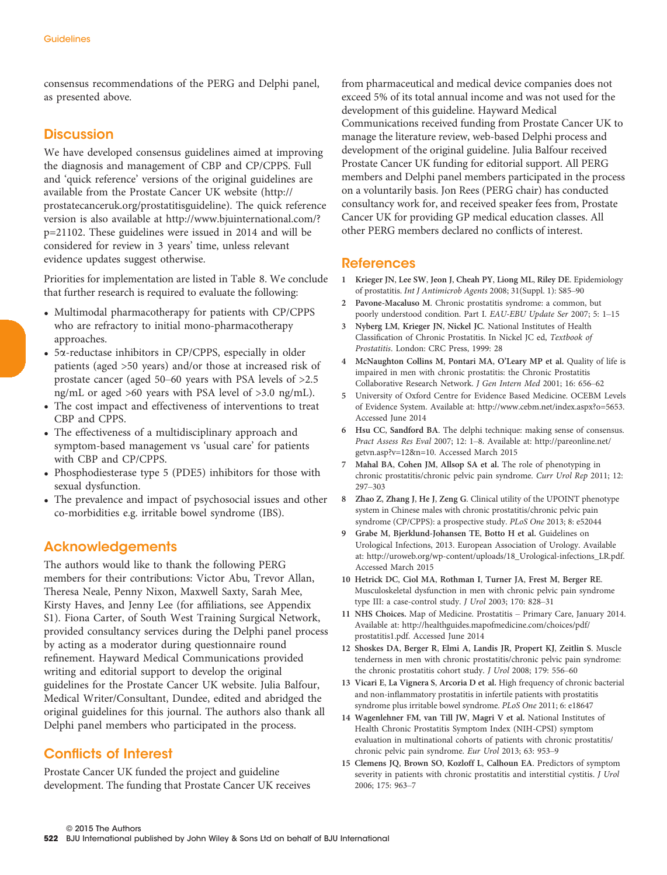consensus recommendations of the PERG and Delphi panel, as presented above.

# **Discussion**

We have developed consensus guidelines aimed at improving the diagnosis and management of CBP and CP/CPPS. Full and 'quick reference' versions of the original guidelines are available from the Prostate Cancer UK website [\(http://](http://prostatecanceruk.org/prostatitisguideline) [prostatecanceruk.org/prostatitisguideline\)](http://prostatecanceruk.org/prostatitisguideline). The quick reference version is also available at [http://www.bjuinternational.com/?](http://www.bjuinternational.com/?p=21102) [p=21102.](http://www.bjuinternational.com/?p=21102) These guidelines were issued in 2014 and will be considered for review in 3 years' time, unless relevant evidence updates suggest otherwise.

Priorities for implementation are listed in Table 8. We conclude that further research is required to evaluate the following:

- Multimodal pharmacotherapy for patients with CP/CPPS who are refractory to initial mono-pharmacotherapy approaches.
- 5a-reductase inhibitors in CP/CPPS, especially in older patients (aged >50 years) and/or those at increased risk of prostate cancer (aged 50–60 years with PSA levels of >2.5 ng/mL or aged >60 years with PSA level of >3.0 ng/mL).
- The cost impact and effectiveness of interventions to treat CBP and CPPS.
- The effectiveness of a multidisciplinary approach and symptom-based management vs 'usual care' for patients with CBP and CP/CPPS.
- Phosphodiesterase type 5 (PDE5) inhibitors for those with sexual dysfunction.
- The prevalence and impact of psychosocial issues and other co-morbidities e.g. irritable bowel syndrome (IBS).

# Acknowledgements

The authors would like to thank the following PERG members for their contributions: Victor Abu, Trevor Allan, Theresa Neale, Penny Nixon, Maxwell Saxty, Sarah Mee, Kirsty Haves, and Jenny Lee (for affiliations, see Appendix S1). Fiona Carter, of South West Training Surgical Network, provided consultancy services during the Delphi panel process by acting as a moderator during questionnaire round refinement. Hayward Medical Communications provided writing and editorial support to develop the original guidelines for the Prostate Cancer UK website. Julia Balfour, Medical Writer/Consultant, Dundee, edited and abridged the original guidelines for this journal. The authors also thank all Delphi panel members who participated in the process.

# Conflicts of Interest

Prostate Cancer UK funded the project and guideline development. The funding that Prostate Cancer UK receives from pharmaceutical and medical device companies does not exceed 5% of its total annual income and was not used for the development of this guideline. Hayward Medical Communications received funding from Prostate Cancer UK to manage the literature review, web-based Delphi process and development of the original guideline. Julia Balfour received Prostate Cancer UK funding for editorial support. All PERG members and Delphi panel members participated in the process on a voluntarily basis. Jon Rees (PERG chair) has conducted consultancy work for, and received speaker fees from, Prostate Cancer UK for providing GP medical education classes. All other PERG members declared no conflicts of interest.

### References

- 1 Krieger JN, Lee SW, Jeon J, Cheah PY, Liong ML, Riley DE. Epidemiology of prostatitis. Int J Antimicrob Agents 2008; 31(Suppl. 1): S85–90
- 2 Pavone-Macaluso M. Chronic prostatitis syndrome: a common, but poorly understood condition. Part I. EAU-EBU Update Ser 2007; 5: 1–15
- 3 Nyberg LM, Krieger JN, Nickel JC. National Institutes of Health Classification of Chronic Prostatitis. In Nickel JC ed, Textbook of Prostatitis. London: CRC Press, 1999: 28
- 4 McNaughton Collins M, Pontari MA, O'Leary MP et al. Quality of life is impaired in men with chronic prostatitis: the Chronic Prostatitis Collaborative Research Network. J Gen Intern Med 2001; 16: 656–62
- 5 University of Oxford Centre for Evidence Based Medicine. OCEBM Levels of Evidence System. Available at:<http://www.cebm.net/index.aspx?o=5653>. Accessed June 2014
- 6 Hsu CC, Sandford BA. The delphi technique: making sense of consensus. Pract Assess Res Eval 2007; 12: 1–8. Available at: [http://pareonline.net/](http://pareonline.net/getvn.asp?v=12%26n=10) [getvn.asp?v=12&n=10.](http://pareonline.net/getvn.asp?v=12%26n=10) Accessed March 2015
- 7 Mahal BA, Cohen JM, Allsop SA et al. The role of phenotyping in chronic prostatitis/chronic pelvic pain syndrome. Curr Urol Rep 2011; 12: 297–303
- 8 Zhao Z, Zhang J, He J, Zeng G. Clinical utility of the UPOINT phenotype system in Chinese males with chronic prostatitis/chronic pelvic pain syndrome (CP/CPPS): a prospective study. PLoS One 2013; 8: e52044
- 9 Grabe M, Bjerklund-Johansen TE, Botto H et al. Guidelines on Urological Infections, 2013. European Association of Urology. Available at: [http://uroweb.org/wp-content/uploads/18\\_Urological-infections\\_LR.pdf](http://uroweb.org/wp-content/uploads/18_Urological-infections_LR.pdf). Accessed March 2015
- 10 Hetrick DC, Ciol MA, Rothman I, Turner JA, Frest M, Berger RE. Musculoskeletal dysfunction in men with chronic pelvic pain syndrome type III: a case-control study. J Urol 2003; 170: 828–31
- 11 NHS Choices. Map of Medicine. Prostatitis Primary Care, January 2014. Available at: [http://healthguides.mapofmedicine.com/choices/pdf/](http://healthguides.mapofmedicine.com/choices/pdf/prostatitis1.pdf) [prostatitis1.pdf.](http://healthguides.mapofmedicine.com/choices/pdf/prostatitis1.pdf) Accessed June 2014
- 12 Shoskes DA, Berger R, Elmi A, Landis JR, Propert KJ, Zeitlin S. Muscle tenderness in men with chronic prostatitis/chronic pelvic pain syndrome: the chronic prostatitis cohort study. J Urol 2008; 179: 556–60
- 13 Vicari E, La Vignera S, Arcoria D et al. High frequency of chronic bacterial and non-inflammatory prostatitis in infertile patients with prostatitis syndrome plus irritable bowel syndrome. PLoS One 2011; 6: e18647
- 14 Wagenlehner FM, van Till JW, Magri V et al. National Institutes of Health Chronic Prostatitis Symptom Index (NIH-CPSI) symptom evaluation in multinational cohorts of patients with chronic prostatitis/ chronic pelvic pain syndrome. Eur Urol 2013; 63: 953–9
- 15 Clemens JQ, Brown SO, Kozloff L, Calhoun EA. Predictors of symptom severity in patients with chronic prostatitis and interstitial cystitis. J Urol 2006; 175: 963–7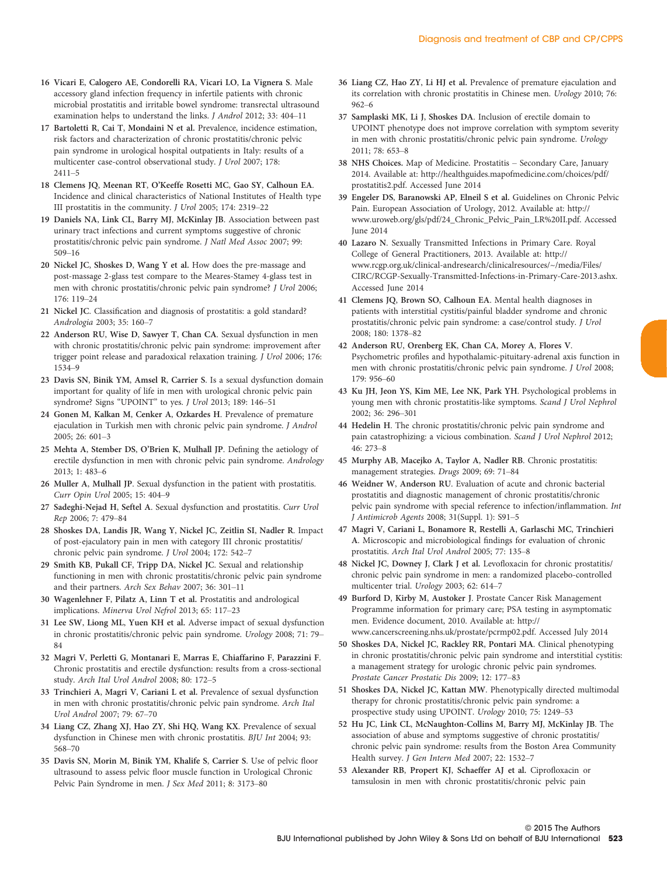- 16 Vicari E, Calogero AE, Condorelli RA, Vicari LO, La Vignera S. Male accessory gland infection frequency in infertile patients with chronic microbial prostatitis and irritable bowel syndrome: transrectal ultrasound examination helps to understand the links. J Androl 2012; 33: 404–11
- 17 Bartoletti R, Cai T, Mondaini N et al. Prevalence, incidence estimation, risk factors and characterization of chronic prostatitis/chronic pelvic pain syndrome in urological hospital outpatients in Italy: results of a multicenter case-control observational study. J Urol 2007; 178: 2411–5
- 18 Clemens JQ, Meenan RT, O'Keeffe Rosetti MC, Gao SY, Calhoun EA. Incidence and clinical characteristics of National Institutes of Health type III prostatitis in the community. J Urol 2005; 174: 2319–22
- 19 Daniels NA, Link CL, Barry MJ, McKinlay JB. Association between past urinary tract infections and current symptoms suggestive of chronic prostatitis/chronic pelvic pain syndrome. J Natl Med Assoc 2007; 99: 509–16
- 20 Nickel JC, Shoskes D, Wang Y et al. How does the pre-massage and post-massage 2-glass test compare to the Meares-Stamey 4-glass test in men with chronic prostatitis/chronic pelvic pain syndrome? J Urol 2006; 176: 119–24
- 21 Nickel JC. Classification and diagnosis of prostatitis: a gold standard? Andrologia 2003; 35: 160–7
- 22 Anderson RU, Wise D, Sawyer T, Chan CA. Sexual dysfunction in men with chronic prostatitis/chronic pelvic pain syndrome: improvement after trigger point release and paradoxical relaxation training. J Urol 2006; 176: 1534–9
- 23 Davis SN, Binik YM, Amsel R, Carrier S. Is a sexual dysfunction domain important for quality of life in men with urological chronic pelvic pain syndrome? Signs "UPOINT" to yes. J Urol 2013; 189: 146–51
- 24 Gonen M, Kalkan M, Cenker A, Ozkardes H. Prevalence of premature ejaculation in Turkish men with chronic pelvic pain syndrome. J Androl 2005; 26: 601–3
- 25 Mehta A, Stember DS, O'Brien K, Mulhall JP. Defining the aetiology of erectile dysfunction in men with chronic pelvic pain syndrome. Andrology 2013; 1: 483–6
- 26 Muller A, Mulhall JP. Sexual dysfunction in the patient with prostatitis. Curr Opin Urol 2005; 15: 404–9
- 27 Sadeghi-Nejad H, Seftel A. Sexual dysfunction and prostatitis. Curr Urol Rep 2006; 7: 479–84
- 28 Shoskes DA, Landis JR, Wang Y, Nickel JC, Zeitlin SI, Nadler R. Impact of post-ejaculatory pain in men with category III chronic prostatitis/ chronic pelvic pain syndrome. J Urol 2004; 172: 542–7
- 29 Smith KB, Pukall CF, Tripp DA, Nickel JC. Sexual and relationship functioning in men with chronic prostatitis/chronic pelvic pain syndrome and their partners. Arch Sex Behav 2007; 36: 301–11
- 30 Wagenlehner F, Pilatz A, Linn T et al. Prostatitis and andrological implications. Minerva Urol Nefrol 2013; 65: 117–23
- 31 Lee SW, Liong ML, Yuen KH et al. Adverse impact of sexual dysfunction in chronic prostatitis/chronic pelvic pain syndrome. Urology 2008; 71: 79– 84
- 32 Magri V, Perletti G, Montanari E, Marras E, Chiaffarino F, Parazzini F. Chronic prostatitis and erectile dysfunction: results from a cross-sectional study. Arch Ital Urol Androl 2008; 80: 172–5
- 33 Trinchieri A, Magri V, Cariani L et al. Prevalence of sexual dysfunction in men with chronic prostatitis/chronic pelvic pain syndrome. Arch Ital Urol Androl 2007; 79: 67–70
- 34 Liang CZ, Zhang XJ, Hao ZY, Shi HQ, Wang KX. Prevalence of sexual dysfunction in Chinese men with chronic prostatitis. BJU Int 2004; 93: 568–70
- 35 Davis SN, Morin M, Binik YM, Khalife S, Carrier S. Use of pelvic floor ultrasound to assess pelvic floor muscle function in Urological Chronic Pelvic Pain Syndrome in men. J Sex Med 2011; 8: 3173–80
- 36 Liang CZ, Hao ZY, Li HJ et al. Prevalence of premature ejaculation and its correlation with chronic prostatitis in Chinese men. Urology 2010; 76: 962–6
- 37 Samplaski MK, Li J, Shoskes DA. Inclusion of erectile domain to UPOINT phenotype does not improve correlation with symptom severity in men with chronic prostatitis/chronic pelvic pain syndrome. Urology 2011; 78: 653–8
- 38 NHS Choices. Map of Medicine. Prostatitis Secondary Care, January 2014. Available at: [http://healthguides.mapofmedicine.com/choices/pdf/](http://healthguides.mapofmedicine.com/choices/pdf/prostatitis2.pdf) [prostatitis2.pdf.](http://healthguides.mapofmedicine.com/choices/pdf/prostatitis2.pdf) Accessed June 2014
- 39 Engeler DS, Baranowski AP, Elneil S et al. Guidelines on Chronic Pelvic Pain. European Association of Urology, 2012. Available at: [http://](http://www.uroweb.org/gls/pdf/24_Chronic_Pelvic_Pain_LR%20II.pdf) [www.uroweb.org/gls/pdf/24\\_Chronic\\_Pelvic\\_Pain\\_LR%20II.pdf](http://www.uroweb.org/gls/pdf/24_Chronic_Pelvic_Pain_LR%20II.pdf). Accessed June 2014
- 40 Lazaro N. Sexually Transmitted Infections in Primary Care. Royal College of General Practitioners, 2013. Available at: [http://](http://www.rcgp.org.uk/clinical-andresearch/clinicalresources/~/media/Files/CIRC/RCGP-Sexually-Transmitted-Infections-in-Primary-Care-2013.ashx) [www.rcgp.org.uk/clinical-andresearch/clinicalresources/~/media/Files/](http://www.rcgp.org.uk/clinical-andresearch/clinicalresources/~/media/Files/CIRC/RCGP-Sexually-Transmitted-Infections-in-Primary-Care-2013.ashx) [CIRC/RCGP-Sexually-Transmitted-Infections-in-Primary-Care-2013.ashx.](http://www.rcgp.org.uk/clinical-andresearch/clinicalresources/~/media/Files/CIRC/RCGP-Sexually-Transmitted-Infections-in-Primary-Care-2013.ashx) Accessed June 2014
- 41 Clemens JQ, Brown SO, Calhoun EA. Mental health diagnoses in patients with interstitial cystitis/painful bladder syndrome and chronic prostatitis/chronic pelvic pain syndrome: a case/control study. J Urol 2008; 180: 1378–82
- 42 Anderson RU, Orenberg EK, Chan CA, Morey A, Flores V. Psychometric profiles and hypothalamic-pituitary-adrenal axis function in men with chronic prostatitis/chronic pelvic pain syndrome. J Urol 2008; 179: 956–60
- 43 Ku JH, Jeon YS, Kim ME, Lee NK, Park YH. Psychological problems in young men with chronic prostatitis-like symptoms. Scand J Urol Nephrol 2002; 36: 296–301
- 44 Hedelin H. The chronic prostatitis/chronic pelvic pain syndrome and pain catastrophizing: a vicious combination. Scand J Urol Nephrol 2012; 46: 273–8
- 45 Murphy AB, Macejko A, Taylor A, Nadler RB. Chronic prostatitis: management strategies. Drugs 2009; 69: 71–84
- 46 Weidner W, Anderson RU. Evaluation of acute and chronic bacterial prostatitis and diagnostic management of chronic prostatitis/chronic pelvic pain syndrome with special reference to infection/inflammation. Int J Antimicrob Agents 2008; 31(Suppl. 1): S91–5
- 47 Magri V, Cariani L, Bonamore R, Restelli A, Garlaschi MC, Trinchieri A. Microscopic and microbiological findings for evaluation of chronic prostatitis. Arch Ital Urol Androl 2005; 77: 135–8
- 48 Nickel JC, Downey J, Clark J et al. Levofloxacin for chronic prostatitis/ chronic pelvic pain syndrome in men: a randomized placebo-controlled multicenter trial. Urology 2003; 62: 614–7
- 49 Burford D, Kirby M, Austoker J. Prostate Cancer Risk Management Programme information for primary care; PSA testing in asymptomatic men. Evidence document, 2010. Available at: [http://](http://www.cancerscreening.nhs.uk/prostate/pcrmp02.pdf) [www.cancerscreening.nhs.uk/prostate/pcrmp02.pdf.](http://www.cancerscreening.nhs.uk/prostate/pcrmp02.pdf) Accessed July 2014
- 50 Shoskes DA, Nickel JC, Rackley RR, Pontari MA. Clinical phenotyping in chronic prostatitis/chronic pelvic pain syndrome and interstitial cystitis: a management strategy for urologic chronic pelvic pain syndromes. Prostate Cancer Prostatic Dis 2009; 12: 177–83
- 51 Shoskes DA, Nickel JC, Kattan MW. Phenotypically directed multimodal therapy for chronic prostatitis/chronic pelvic pain syndrome: a prospective study using UPOINT. Urology 2010; 75: 1249–53
- 52 Hu JC, Link CL, McNaughton-Collins M, Barry MJ, McKinlay JB. The association of abuse and symptoms suggestive of chronic prostatitis/ chronic pelvic pain syndrome: results from the Boston Area Community Health survey. J Gen Intern Med 2007; 22: 1532–7
- 53 Alexander RB, Propert KJ, Schaeffer AJ et al. Ciprofloxacin or tamsulosin in men with chronic prostatitis/chronic pelvic pain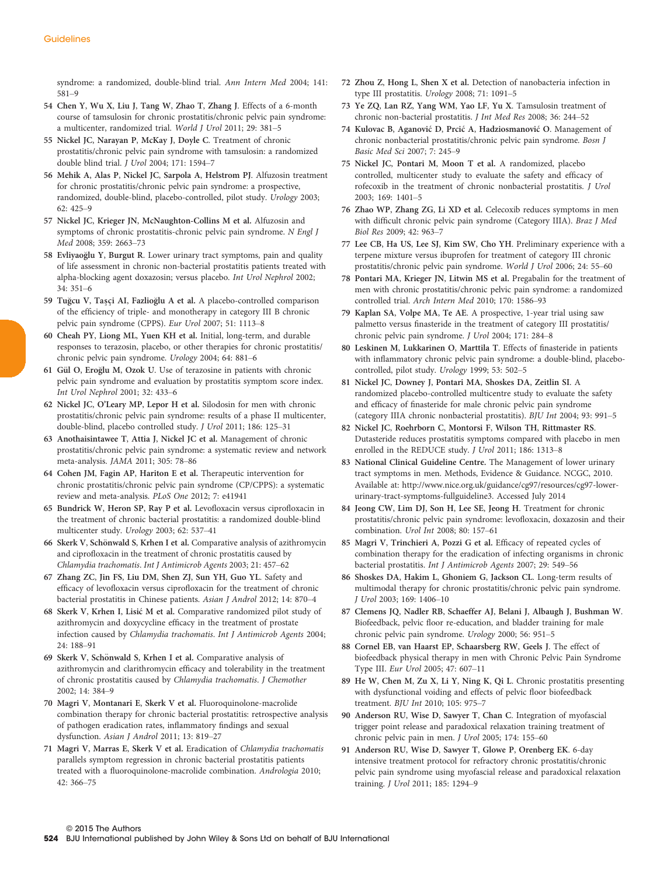syndrome: a randomized, double-blind trial. Ann Intern Med 2004; 141: 581–9

- 54 Chen Y, Wu X, Liu J, Tang W, Zhao T, Zhang J. Effects of a 6-month course of tamsulosin for chronic prostatitis/chronic pelvic pain syndrome: a multicenter, randomized trial. World J Urol 2011; 29: 381–5
- 55 Nickel JC, Narayan P, McKay J, Doyle C. Treatment of chronic prostatitis/chronic pelvic pain syndrome with tamsulosin: a randomized double blind trial. J Urol 2004; 171: 1594–7
- 56 Mehik A, Alas P, Nickel JC, Sarpola A, Helstrom PJ. Alfuzosin treatment for chronic prostatitis/chronic pelvic pain syndrome: a prospective, randomized, double-blind, placebo-controlled, pilot study. Urology 2003;  $62.425 - 9$
- 57 Nickel JC, Krieger JN, McNaughton-Collins M et al. Alfuzosin and symptoms of chronic prostatitis-chronic pelvic pain syndrome. N Engl J Med 2008; 359: 2663–73
- 58 Evliyaoğlu Y, Burgut R. Lower urinary tract symptoms, pain and quality of life assessment in chronic non-bacterial prostatitis patients treated with alpha-blocking agent doxazosin; versus placebo. Int Urol Nephrol 2002; 34: 351–6
- 59 Tuğcu V, Taşçi AI, Fazlioğlu A et al. A placebo-controlled comparison of the efficiency of triple- and monotherapy in category III B chronic pelvic pain syndrome (CPPS). Eur Urol 2007; 51: 1113–8
- 60 Cheah PY, Liong ML, Yuen KH et al. Initial, long-term, and durable responses to terazosin, placebo, or other therapies for chronic prostatitis/ chronic pelvic pain syndrome. Urology 2004; 64: 881–6
- 61 Gül O, Eroğlu M, Ozok U. Use of terazosine in patients with chronic pelvic pain syndrome and evaluation by prostatitis symptom score index. Int Urol Nephrol 2001; 32: 433–6
- 62 Nickel JC, O'Leary MP, Lepor H et al. Silodosin for men with chronic prostatitis/chronic pelvic pain syndrome: results of a phase II multicenter, double-blind, placebo controlled study. J Urol 2011; 186: 125–31
- 63 Anothaisintawee T, Attia J, Nickel JC et al. Management of chronic prostatitis/chronic pelvic pain syndrome: a systematic review and network meta-analysis. JAMA 2011; 305: 78–86
- 64 Cohen JM, Fagin AP, Hariton E et al. Therapeutic intervention for chronic prostatitis/chronic pelvic pain syndrome (CP/CPPS): a systematic review and meta-analysis. PLoS One 2012; 7: e41941
- 65 Bundrick W, Heron SP, Ray P et al. Levofloxacin versus ciprofloxacin in the treatment of chronic bacterial prostatitis: a randomized double-blind multicenter study. Urology 2003; 62: 537–41
- 66 Skerk V, Schönwald S, Krhen I et al. Comparative analysis of azithromycin and ciprofloxacin in the treatment of chronic prostatitis caused by Chlamydia trachomatis. Int J Antimicrob Agents 2003; 21: 457–62
- 67 Zhang ZC, Jin FS, Liu DM, Shen ZJ, Sun YH, Guo YL. Safety and efficacy of levofloxacin versus ciprofloxacin for the treatment of chronic bacterial prostatitis in Chinese patients. Asian J Androl 2012; 14: 870–4
- 68 Skerk V, Krhen I, Lisic M et al. Comparative randomized pilot study of azithromycin and doxycycline efficacy in the treatment of prostate infection caused by Chlamydia trachomatis. Int J Antimicrob Agents 2004; 24: 188–91
- 69 Skerk V, Schönwald S, Krhen I et al. Comparative analysis of azithromycin and clarithromycin efficacy and tolerability in the treatment of chronic prostatitis caused by Chlamydia trachomatis. J Chemother 2002; 14: 384–9
- 70 Magri V, Montanari E, Skerk V et al. Fluoroquinolone-macrolide combination therapy for chronic bacterial prostatitis: retrospective analysis of pathogen eradication rates, inflammatory findings and sexual dysfunction. Asian J Androl 2011; 13: 819–27
- 71 Magri V, Marras E, Skerk V et al. Eradication of Chlamydia trachomatis parallels symptom regression in chronic bacterial prostatitis patients treated with a fluoroquinolone-macrolide combination. Andrologia 2010; 42: 366–75
- 72 Zhou Z, Hong L, Shen X et al. Detection of nanobacteria infection in type III prostatitis. Urology 2008; 71: 1091–5
- 73 Ye ZQ, Lan RZ, Yang WM, Yao LF, Yu X. Tamsulosin treatment of chronic non-bacterial prostatitis. J Int Med Res 2008; 36: 244–52
- 74 Kulovac B, Aganovic D, Prcic A, Hadziosmanovic O. Management of chronic nonbacterial prostatitis/chronic pelvic pain syndrome. Bosn J Basic Med Sci 2007; 7: 245–9
- 75 Nickel JC, Pontari M, Moon T et al. A randomized, placebo controlled, multicenter study to evaluate the safety and efficacy of rofecoxib in the treatment of chronic nonbacterial prostatitis. J Urol 2003; 169: 1401–5
- 76 Zhao WP, Zhang ZG, Li XD et al. Celecoxib reduces symptoms in men with difficult chronic pelvic pain syndrome (Category IIIA). Braz J Med Biol Res 2009; 42: 963–7
- 77 Lee CB, Ha US, Lee SJ, Kim SW, Cho YH. Preliminary experience with a terpene mixture versus ibuprofen for treatment of category III chronic prostatitis/chronic pelvic pain syndrome. World J Urol 2006; 24: 55–60
- 78 Pontari MA, Krieger JN, Litwin MS et al. Pregabalin for the treatment of men with chronic prostatitis/chronic pelvic pain syndrome: a randomized controlled trial. Arch Intern Med 2010; 170: 1586–93
- 79 Kaplan SA, Volpe MA, Te AE. A prospective, 1-year trial using saw palmetto versus finasteride in the treatment of category III prostatitis/ chronic pelvic pain syndrome. J Urol 2004; 171: 284–8
- 80 Leskinen M, Lukkarinen O, Marttila T. Effects of finasteride in patients with inflammatory chronic pelvic pain syndrome: a double-blind, placebocontrolled, pilot study. Urology 1999; 53: 502–5
- 81 Nickel JC, Downey J, Pontari MA, Shoskes DA, Zeitlin SI. A randomized placebo-controlled multicentre study to evaluate the safety and efficacy of finasteride for male chronic pelvic pain syndrome (category IIIA chronic nonbacterial prostatitis). BJU Int 2004; 93: 991–5
- 82 Nickel JC, Roehrborn C, Montorsi F, Wilson TH, Rittmaster RS. Dutasteride reduces prostatitis symptoms compared with placebo in men enrolled in the REDUCE study. J Urol 2011; 186: 1313–8
- 83 National Clinical Guideline Centre. The Management of lower urinary tract symptoms in men. Methods, Evidence & Guidance. NCGC, 2010. Available at: [http://www.nice.org.uk/guidance/cg97/resources/cg97-lower](http://www.nice.org.uk/guidance/cg97/resources/cg97-lower-urinary-tract-symptoms-fullguideline3)[urinary-tract-symptoms-fullguideline3](http://www.nice.org.uk/guidance/cg97/resources/cg97-lower-urinary-tract-symptoms-fullguideline3). Accessed July 2014
- 84 Jeong CW, Lim DJ, Son H, Lee SE, Jeong H. Treatment for chronic prostatitis/chronic pelvic pain syndrome: levofloxacin, doxazosin and their combination. Urol Int 2008; 80: 157–61
- 85 Magri V, Trinchieri A, Pozzi G et al. Efficacy of repeated cycles of combination therapy for the eradication of infecting organisms in chronic bacterial prostatitis. Int J Antimicrob Agents 2007; 29: 549–56
- 86 Shoskes DA, Hakim L, Ghoniem G, Jackson CL. Long-term results of multimodal therapy for chronic prostatitis/chronic pelvic pain syndrome. J Urol 2003; 169: 1406–10
- 87 Clemens JQ, Nadler RB, Schaeffer AJ, Belani J, Albaugh J, Bushman W. Biofeedback, pelvic floor re-education, and bladder training for male chronic pelvic pain syndrome. Urology 2000; 56: 951–5
- 88 Cornel EB, van Haarst EP, Schaarsberg RW, Geels J. The effect of biofeedback physical therapy in men with Chronic Pelvic Pain Syndrome Type III. Eur Urol 2005; 47: 607–11
- 89 He W, Chen M, Zu X, Li Y, Ning K, Qi L. Chronic prostatitis presenting with dysfunctional voiding and effects of pelvic floor biofeedback treatment. BJU Int 2010; 105: 975–7
- 90 Anderson RU, Wise D, Sawyer T, Chan C. Integration of myofascial trigger point release and paradoxical relaxation training treatment of chronic pelvic pain in men. J Urol 2005; 174: 155–60
- 91 Anderson RU, Wise D, Sawyer T, Glowe P, Orenberg EK. 6-day intensive treatment protocol for refractory chronic prostatitis/chronic pelvic pain syndrome using myofascial release and paradoxical relaxation training. J Urol 2011; 185: 1294–9